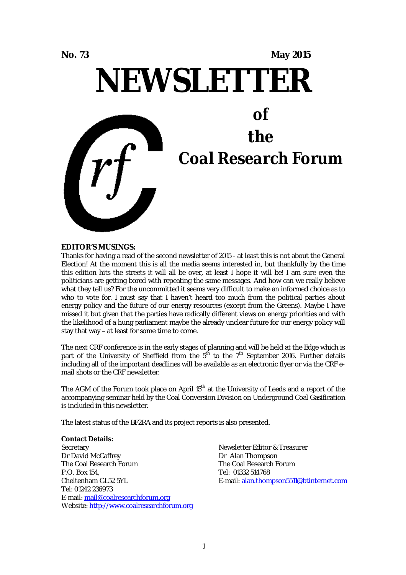# **No. 73 May 2015 NEWSLETTER** *of the Coal Research Forum*

#### **EDITOR'S MUSINGS:**

Thanks for having a read of the second newsletter of 2015 - at least this is not about the General Election! At the moment this is all the media seems interested in, but thankfully by the time this edition hits the streets it will all be over, at least I hope it will be! I am sure even the politicians are getting bored with repeating the same messages. And how can we really believe what they tell us? For the uncommitted it seems very difficult to make an informed choice as to who to vote for. I must say that I haven't heard too much from the political parties about energy policy and the future of our energy resources (except from the Greens). Maybe I have missed it but given that the parties have radically different views on energy priorities and with the likelihood of a hung parliament maybe the already unclear future for our energy policy will stay that way – at least for some time to come.

The next CRF conference is in the early stages of planning and will be held at the Edge which is part of the University of Sheffield from the  $5<sup>th</sup>$  to the  $7<sup>th</sup>$  September 2016. Further details including all of the important deadlines will be available as an electronic flyer or via the CRF email shots or the CRF newsletter.

The AGM of the Forum took place on April 15<sup>th</sup> at the University of Leeds and a report of the accompanying seminar held by the Coal Conversion Division on Underground Coal Gasification is included in this newsletter.

The latest status of the BF2RA and its project reports is also presented.

#### **Contact Details:**

**Secretary** Dr David McCaffrey The Coal Research Forum P.O. Box 154, Cheltenham GL52 5YL Tel: 01242 236973 E-mail: mail@coalresearchforum.org Website: http://www.coalresearchforum.org

Newsletter Editor & Treasurer Dr Alan Thompson The Coal Research Forum Tel: 01332 514768 E-mail: alan.thompson5511@btinternet.com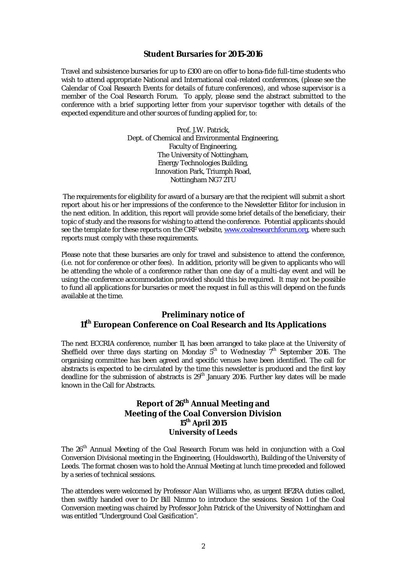## **Student Bursaries for 2015-2016**

Travel and subsistence bursaries for up to £300 are on offer to bona-fide full-time students who wish to attend appropriate National and International coal-related conferences, (please see the Calendar of Coal Research Events for details of future conferences), and whose supervisor is a member of the Coal Research Forum. To apply, please send the abstract submitted to the conference with a brief supporting letter from your supervisor together with details of the expected expenditure and other sources of funding applied for, to:

> Prof. J.W. Patrick, Dept. of Chemical and Environmental Engineering, Faculty of Engineering, The University of Nottingham, Energy Technologies Building, Innovation Park, Triumph Road, Nottingham NG7 2TU

The requirements for eligibility for award of a bursary are that the recipient will submit a short report about his or her impressions of the conference to the Newsletter Editor for inclusion in the next edition. In addition, this report will provide some brief details of the beneficiary, their topic of study and the reasons for wishing to attend the conference. Potential applicants should see the template for these reports on the CRF website, www.coalresearchforum.org, where such reports must comply with these requirements.

Please note that these bursaries are only for travel and subsistence to attend the conference, (i.e. not for conference or other fees). In addition, priority will be given to applicants who will be attending the whole of a conference rather than one day of a multi-day event and will be using the conference accommodation provided should this be required. It may not be possible to fund all applications for bursaries or meet the request in full as this will depend on the funds available at the time.

## **Preliminary notice of 11th European Conference on Coal Research and Its Applications**

The next ECCRIA conference, number 11, has been arranged to take place at the University of Sheffield over three days starting on Monday  $5^{th}$  to Wednesday  $7^{th}$  September 2016. The organising committee has been agreed and specific venues have been identified. The call for abstracts is expected to be circulated by the time this newsletter is produced and the first key deadline for the submission of abstracts is 29<sup>th</sup> January 2016. Further key dates will be made known in the Call for Abstracts.

## **Report of 26th Annual Meeting and Meeting of the Coal Conversion Division 15th April 2015 University of Leeds**

The 26<sup>th</sup> Annual Meeting of the Coal Research Forum was held in conjunction with a Coal Conversion Divisional meeting in the Engineering, (Houldsworth), Building of the University of Leeds. The format chosen was to hold the Annual Meeting at lunch time preceded and followed by a series of technical sessions.

The attendees were welcomed by Professor Alan Williams who, as urgent BF2RA duties called, then swiftly handed over to Dr Bill Nimmo to introduce the sessions. Session 1 of the Coal Conversion meeting was chaired by Professor John Patrick of the University of Nottingham and was entitled "Underground Coal Gasification".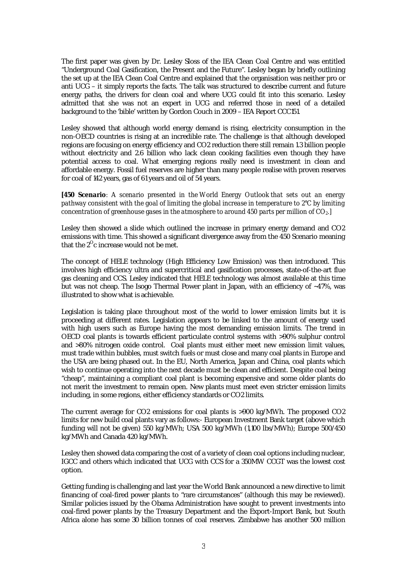The first paper was given by Dr. Lesley Sloss of the IEA Clean Coal Centre and was entitled "Underground Coal Gasification, the Present and the Future". Lesley began by briefly outlining the set up at the IEA Clean Coal Centre and explained that the organisation was neither pro or anti UCG – it simply reports the facts. The talk was structured to describe current and future energy paths, the drivers for clean coal and where UCG could fit into this scenario. Lesley admitted that she was not an expert in UCG and referred those in need of a detailed background to the 'bible' written by Gordon Couch in 2009 – IEA Report CCC151.

Lesley showed that although world energy demand is rising, electricity consumption in the non-OECD countries is rising at an incredible rate. The challenge is that although developed regions are focusing on energy efficiency and CO2 reduction there still remain 1.3 billion people without electricity and 2.6 billion who lack clean cooking facilities even though they have potential access to coal. What emerging regions really need is investment in clean and affordable energy. Fossil fuel reserves are higher than many people realise with proven reserves for coal of 142 years, gas of 61 years and oil of 54 years.

*[450 Scenario: A scenario presented in the World Energy Outlook that sets out an energy pathway consistent with the goal of limiting the global increase in temperature to 2°C by limiting concentration of greenhouse gases in the atmosphere to around 450 parts per million of CO2.]*

Lesley then showed a slide which outlined the increase in primary energy demand and CO2 emissions with time. This showed a significant divergence away from the 450 Scenario meaning that the  $2^{\circ}$ c increase would not be met.

The concept of HELE technology (High Efficiency Low Emission) was then introduced. This involves high efficiency ultra and supercritical and gasification processes, state-of-the-art flue gas cleaning and CCS. Lesley indicated that HELE technology was almost available at this time but was not cheap. The Isogo Thermal Power plant in Japan, with an efficiency of ~47%, was illustrated to show what is achievable.

Legislation is taking place throughout most of the world to lower emission limits but it is proceeding at different rates. Legislation appears to be linked to the amount of energy used with high users such as Europe having the most demanding emission limits. The trend in OECD coal plants is towards efficient particulate control systems with >90% sulphur control and >80% nitrogen oxide control. Coal plants must either meet new emission limit values, must trade within bubbles, must switch fuels or must close and many coal plants in Europe and the USA are being phased out. In the EU, North America, Japan and China, coal plants which wish to continue operating into the next decade must be clean and efficient. Despite coal being "cheap", maintaining a compliant coal plant is becoming expensive and some older plants do not merit the investment to remain open. New plants must meet even stricter emission limits including, in some regions, either efficiency standards or CO2 limits.

The current average for CO2 emissions for coal plants is >900 kg/MWh. The proposed CO2 limits for new build coal plants vary as follows:- European Investment Bank target (above which funding will not be given) 550 kg/MWh; USA 500 kg/MWh (1,100 lbs/MWh); Europe 500/450 kg/MWh and Canada 420 kg/MWh.

Lesley then showed data comparing the cost of a variety of clean coal options including nuclear, IGCC and others which indicated that UCG with CCS for a 350MW CCGT was the lowest cost option.

Getting funding is challenging and last year the World Bank announced a new directive to limit financing of coal-fired power plants to "rare circumstances" (although this may be reviewed). Similar policies issued by the Obama Administration have sought to prevent investments into coal-fired power plants by the Treasury Department and the Export-Import Bank, but South Africa alone has some 30 billion tonnes of coal reserves. Zimbabwe has another 500 million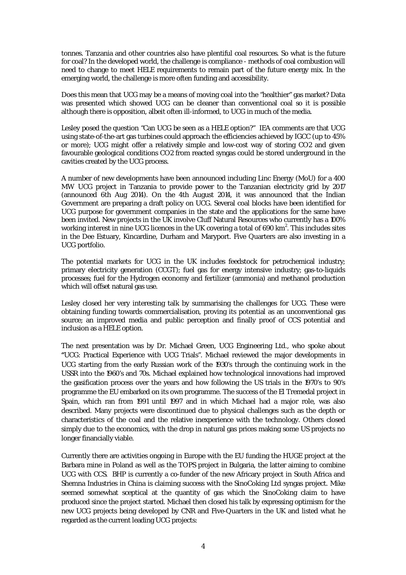tonnes. Tanzania and other countries also have plentiful coal resources. So what is the future for coal? In the developed world, the challenge is compliance - methods of coal combustion will need to change to meet HELE requirements to remain part of the future energy mix. In the emerging world, the challenge is more often funding and accessibility.

Does this mean that UCG may be a means of moving coal into the "healthier" gas market? Data was presented which showed UCG can be cleaner than conventional coal so it is possible although there is opposition, albeit often ill-informed, to UCG in much of the media.

Lesley posed the question "Can UCG be seen as a HELE option?" IEA comments are that UCG using state-of-the-art gas turbines could approach the efficiencies achieved by IGCC (up to 45% or more); UCG might offer a relatively simple and low-cost way of storing CO2 and given favourable geological conditions CO2 from reacted syngas could be stored underground in the cavities created by the UCG process.

A number of new developments have been announced including Linc Energy (MoU) for a 400 MW UCG project in Tanzania to provide power to the Tanzanian electricity grid by 2017 (announced 6th Aug 2014). On the 4th August 2014, it was announced that the Indian Government are preparing a draft policy on UCG. Several coal blocks have been identified for UCG purpose for government companies in the state and the applications for the same have been invited. New projects in the UK involve Cluff Natural Resources who currently has a 100% working interest in nine UCG licences in the UK covering a total of 690 km $^2\!$ . This includes sites in the Dee Estuary, Kincardine, Durham and Maryport. Five Quarters are also investing in a UCG portfolio.

The potential markets for UCG in the UK includes feedstock for petrochemical industry; primary electricity generation (CCGT); fuel gas for energy intensive industry; gas-to-liquids processes; fuel for the Hydrogen economy and fertilizer (ammonia) and methanol production which will offset natural gas use.

Lesley closed her very interesting talk by summarising the challenges for UCG. These were obtaining funding towards commercialisation, proving its potential as an unconventional gas source; an improved media and public perception and finally proof of CCS potential and inclusion as a HELE option.

The next presentation was by Dr. Michael Green, UCG Engineering Ltd., who spoke about **"**UCG: Practical Experience with UCG Trials". Michael reviewed the major developments in UCG starting from the early Russian work of the 1930's through the continuing work in the USSR into the 1960's and 70s. Michael explained how technological innovations had improved the gasification process over the years and how following the US trials in the 1970's to 90's programme the EU embarked on its own programme. The success of the El Tremedal project in Spain, which ran from 1991 until 1997 and in which Michael had a major role, was also described. Many projects were discontinued due to physical challenges such as the depth or characteristics of the coal and the relative inexperience with the technology. Others closed simply due to the economics, with the drop in natural gas prices making some US projects no longer financially viable.

Currently there are activities ongoing in Europe with the EU funding the HUGE project at the Barbara mine in Poland as well as the TOPS project in Bulgaria, the latter aiming to combine UCG with CCS. BHP is currently a co-funder of the new Africary project in South Africa and Shemna Industries in China is claiming success with the SinoCoking Ltd syngas project. Mike seemed somewhat sceptical at the quantity of gas which the SinoCoking claim to have produced since the project started. Michael then closed his talk by expressing optimism for the new UCG projects being developed by CNR and Five-Quarters in the UK and listed what he regarded as the current leading UCG projects: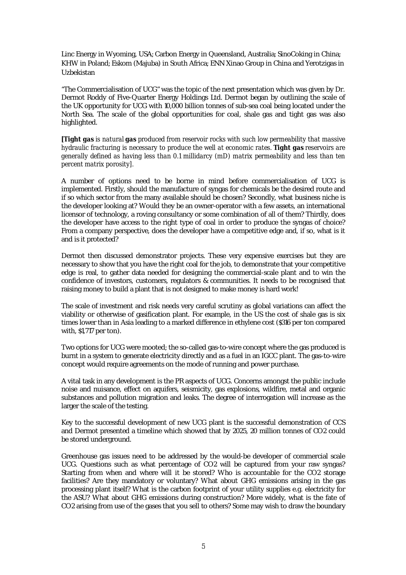Linc Energy in Wyoming, USA; Carbon Energy in Queensland, Australia; SinoCoking in China; KHW in Poland; Eskom (Majuba) in South Africa; ENN Xinao Group in China and Yerotzigas in Uzbekistan

"The Commercialisation of UCG" was the topic of the next presentation which was given by Dr. Dermot Roddy of Five-Quarter Energy Holdings Ltd. Dermot began by outlining the scale of the UK opportunity for UCG with 10,000 billion tonnes of sub-sea coal being located under the North Sea. The scale of the global opportunities for coal, shale gas and tight gas was also highlighted.

*[Tight gas is natural gas produced from reservoir rocks with such low permeability that massive hydraulic fracturing is necessary to produce the well at economic rates. Tight gas reservoirs are generally defined as having less than 0.1 millidarcy (mD) matrix permeability and less than ten percent matrix porosity].*

A number of options need to be borne in mind before commercialisation of UCG is implemented. Firstly, should the manufacture of syngas for chemicals be the desired route and if so which sector from the many available should be chosen? Secondly, what business niche is the developer looking at? Would they be an owner-operator with a few assets, an international licensor of technology, a roving consultancy or some combination of all of them? Thirdly, does the developer have access to the right type of coal in order to produce the syngas of choice? From a company perspective, does the developer have a competitive edge and, if so, what is it and is it protected?

Dermot then discussed demonstrator projects. These very expensive exercises but they are necessary to show that you have the right coal for the job, to demonstrate that your competitive edge is real, to gather data needed for designing the commercial-scale plant and to win the confidence of investors, customers, regulators & communities. It needs to be recognised that raising money to build a plant that is not designed to make money is hard work!

The scale of investment and risk needs very careful scrutiny as global variations can affect the viability or otherwise of gasification plant. For example, in the US the cost of shale gas is six times lower than in Asia leading to a marked difference in ethylene cost (\$316 per ton compared with, \$1,717 per ton).

Two options for UCG were mooted; the so-called gas-to-wire concept where the gas produced is burnt in a system to generate electricity directly and as a fuel in an IGCC plant. The gas-to-wire concept would require agreements on the mode of running and power purchase.

A vital task in any development is the PR aspects of UCG. Concerns amongst the public include noise and nuisance, effect on aquifers, seismicity, gas explosions, wildfire, metal and organic substances and pollution migration and leaks. The degree of interrogation will increase as the larger the scale of the testing.

Key to the successful development of new UCG plant is the successful demonstration of CCS and Dermot presented a timeline which showed that by 2025, 20 million tonnes of CO2 could be stored underground.

Greenhouse gas issues need to be addressed by the would-be developer of commercial scale UCG. Questions such as what percentage of CO2 will be captured from your raw syngas? Starting from when and where will it be stored? Who is accountable for the CO2 storage facilities? Are they mandatory or voluntary? What about GHG emissions arising in the gas processing plant itself? What is the carbon footprint of your utility supplies e.g. electricity for the ASU? What about GHG emissions during construction? More widely, what is the fate of CO2 arising from use of the gases that you sell to others? Some may wish to draw the boundary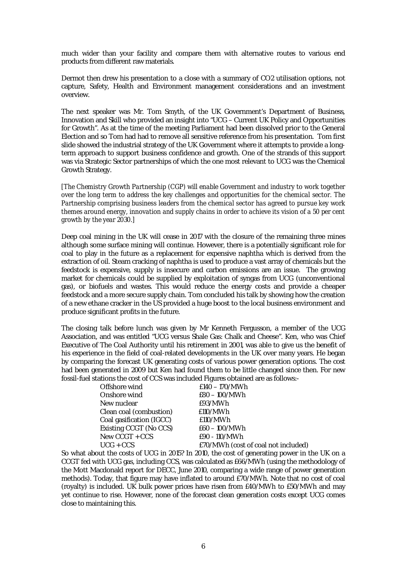much wider than your facility and compare them with alternative routes to various end products from different raw materials.

Dermot then drew his presentation to a close with a summary of CO2 utilisation options, not capture, Safety, Health and Environment management considerations and an investment overview.

The next speaker was Mr. Tom Smyth, of the UK Government's Department of Business, Innovation and Skill who provided an insight into "UCG – Current UK Policy and Opportunities for Growth". As at the time of the meeting Parliament had been dissolved prior to the General Election and so Tom had had to remove all sensitive reference from his presentation. Tom first slide showed the industrial strategy of the UK Government where it attempts to provide a longterm approach to support business confidence and growth. One of the strands of this support was via Strategic Sector partnerships of which the one most relevant to UCG was the Chemical Growth Strategy.

*[The Chemistry Growth Partnership (CGP) will enable Government and industry to work together over the long term to address the key challenges and opportunities for the chemical sector. The Partnership comprising business leaders from the chemical sector has agreed to pursue key work themes around energy, innovation and supply chains in order to achieve its vision of a 50 per cent growth by the year 2030.]*

Deep coal mining in the UK will cease in 2017 with the closure of the remaining three mines although some surface mining will continue. However, there is a potentially significant role for coal to play in the future as a replacement for expensive naphtha which is derived from the extraction of oil. Steam cracking of naphtha is used to produce a vast array of chemicals but the feedstock is expensive, supply is insecure and carbon emissions are an issue. The growing market for chemicals could be supplied by exploitation of syngas from UCG (unconventional gas), or biofuels and wastes. This would reduce the energy costs and provide a cheaper feedstock and a more secure supply chain. Tom concluded his talk by showing how the creation of a new ethane cracker in the US provided a huge boost to the local business environment and produce significant profits in the future.

The closing talk before lunch was given by Mr Kenneth Fergusson, a member of the UCG Association, and was entitled "UCG versus Shale Gas: Chalk and Cheese". Ken, who was Chief Executive of The Coal Authority until his retirement in 2001, was able to give us the benefit of his experience in the field of coal-related developments in the UK over many years. He began by comparing the forecast UK generating costs of various power generation options. The cost had been generated in 2009 but Ken had found them to be little changed since then. For new fossil-fuel stations the cost of CCS was included Figures obtained are as follows:-

| Offshore wind            | £140 - 170/MWh                      |
|--------------------------|-------------------------------------|
| Onshore wind             | £80 - 100/MWh                       |
| New nuclear              | £93/MWh                             |
| Clean coal (combustion)  | £110/MWh                            |
| Coal gasification (IGCC) | £110/MWh                            |
| Existing CCGT (No CCS)   | $E60 - 100/MWh$                     |
| New CCGT + CCS           | £90 - 110/MWh                       |
| $UCG + CCS$              | £70/MWh (cost of coal not included) |
|                          |                                     |

So what about the costs of UCG in 2015? In 2010, the cost of generating power in the UK on a CCGT fed with UCG gas, including CCS, was calculated as £66/MWh (using the methodology of the Mott Macdonald report for DECC, June 2010, comparing a wide range of power generation methods). Today, that figure may have inflated to around £70/MWh. Note that no cost of coal (royalty) is included. UK bulk power prices have risen from £40/MWh to £50/MWh and may yet continue to rise. However, none of the forecast clean generation costs except UCG comes close to maintaining this.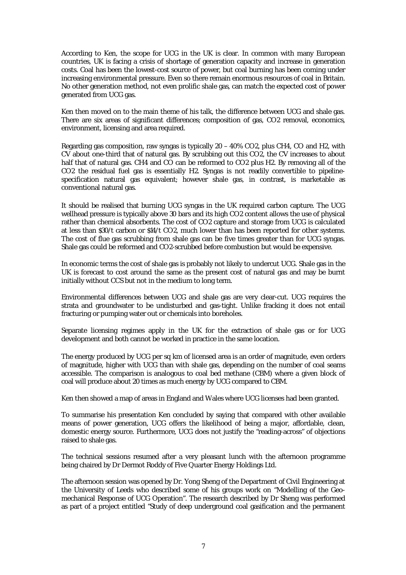According to Ken, the scope for UCG in the UK is clear. In common with many European countries, UK is facing a crisis of shortage of generation capacity and increase in generation costs. Coal has been the lowest-cost source of power, but coal burning has been coming under increasing environmental pressure. Even so there remain enormous resources of coal in Britain. No other generation method, not even prolific shale gas, can match the expected cost of power generated from UCG gas.

Ken then moved on to the main theme of his talk, the difference between UCG and shale gas. There are six areas of significant differences; composition of gas, CO2 removal, economics, environment, licensing and area required.

Regarding gas composition, raw syngas is typically 20 – 40% CO2, plus CH4, CO and H2, with CV about one-third that of natural gas. By scrubbing out this CO2, the CV increases to about half that of natural gas. CH4 and CO can be reformed to CO2 plus H2. By removing all of the CO2 the residual fuel gas is essentially H2. Syngas is not readily convertible to pipelinespecification natural gas equivalent; however shale gas, in contrast, is marketable as conventional natural gas.

It should be realised that burning UCG syngas in the UK required carbon capture. The UCG wellhead pressure is typically above 30 bars and its high CO2 content allows the use of physical rather than chemical absorbents. The cost of CO2 capture and storage from UCG is calculated at less than \$30/t carbon or \$14/t CO2, much lower than has been reported for other systems. The cost of flue gas scrubbing from shale gas can be five times greater than for UCG syngas. Shale gas could be reformed and CO2-scrubbed before combustion but would be expensive.

In economic terms the cost of shale gas is probably not likely to undercut UCG. Shale gas in the UK is forecast to cost around the same as the present cost of natural gas and may be burnt initially without CCS but not in the medium to long term.

Environmental differences between UCG and shale gas are very clear-cut. UCG requires the strata and groundwater to be undisturbed and gas-tight. Unlike fracking it does not entail fracturing or pumping water out or chemicals into boreholes.

Separate licensing regimes apply in the UK for the extraction of shale gas or for UCG development and both cannot be worked in practice in the same location.

The energy produced by UCG per sq km of licensed area is an order of magnitude, even orders of magnitude, higher with UCG than with shale gas, depending on the number of coal seams accessible. The comparison is analogous to coal bed methane (CBM) where a given block of coal will produce about 20 times as much energy by UCG compared to CBM.

Ken then showed a map of areas in England and Wales where UCG licenses had been granted.

To summarise his presentation Ken concluded by saying that compared with other available means of power generation, UCG offers the likelihood of being a major, affordable, clean, domestic energy source. Furthermore, UCG does not justify the "reading-across" of objections raised to shale gas.

The technical sessions resumed after a very pleasant lunch with the afternoon programme being chaired by Dr Dermot Roddy of Five Quarter Energy Holdings Ltd.

The afternoon session was opened by Dr. Yong Sheng of the Department of Civil Engineering at the University of Leeds who described some of his groups work on "Modelling of the Geomechanical Response of UCG Operation". The research described by Dr Sheng was performed as part of a project entitled "Study of deep underground coal gasification and the permanent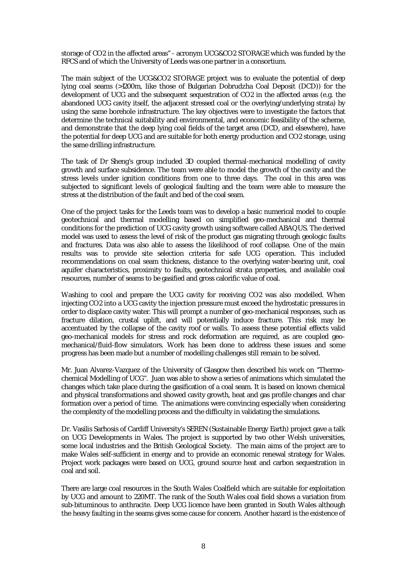storage of CO2 in the affected areas" - acronym UCG&CO2 STORAGE which was funded by the RFCS and of which the University of Leeds was one partner in a consortium.

The main subject of the UCG&CO2 STORAGE project was to evaluate the potential of deep lying coal seams (>1200m, like those of Bulgarian Dobrudzha Coal Deposit (DCD)) for the development of UCG and the subsequent sequestration of CO2 in the affected areas (e.g. the abandoned UCG cavity itself, the adjacent stressed coal or the overlying/underlying strata) by using the same borehole infrastructure. The key objectives were to investigate the factors that determine the technical suitability and environmental, and economic feasibility of the scheme, and demonstrate that the deep lying coal fields of the target area (DCD, and elsewhere), have the potential for deep UCG and are suitable for both energy production and CO2 storage, using the same drilling infrastructure.

The task of Dr Sheng's group included 3D coupled thermal-mechanical modelling of cavity growth and surface subsidence. The team were able to model the growth of the cavity and the stress levels under ignition conditions from one to three days. The coal in this area was subjected to significant levels of geological faulting and the team were able to measure the stress at the distribution of the fault and bed of the coal seam.

One of the project tasks for the Leeds team was to develop a basic numerical model to couple geotechnical and thermal modelling based on simplified geo-mechanical and thermal conditions for the prediction of UCG cavity growth using software called ABAQUS. The derived model was used to assess the level of risk of the product gas migrating through geologic faults and fractures. Data was also able to assess the likelihood of roof collapse. One of the main results was to provide site selection criteria for safe UCG operation. This included recommendations on coal seam thickness, distance to the overlying water-bearing unit, coal aquifer characteristics, proximity to faults, geotechnical strata properties, and available coal resources, number of seams to be gasified and gross calorific value of coal.

Washing to cool and prepare the UCG cavity for receiving CO2 was also modelled. When injecting CO2 into a UCG cavity the injection pressure must exceed the hydrostatic pressures in order to displace cavity water. This will prompt a number of geo-mechanical responses, such as fracture dilation, crustal uplift, and will potentially induce fracture. This risk may be accentuated by the collapse of the cavity roof or walls. To assess these potential effects valid geo-mechanical models for stress and rock deformation are required, as are coupled geomechanical/fluid-flow simulators. Work has been done to address these issues and some progress has been made but a number of modelling challenges still remain to be solved.

Mr. Juan Alvarez-Vazquez of the University of Glasgow then described his work on "Thermochemical Modelling of UCG". Juan was able to show a series of animations which simulated the changes which take place during the gasification of a coal seam. It is based on known chemical and physical transformations and showed cavity growth, heat and gas profile changes and char formation over a period of time. The animations were convincing especially when considering the complexity of the modelling process and the difficulty in validating the simulations.

Dr. Vasilis Sarhosis of Cardiff University's SEREN (Sustainable Energy Earth) project gave a talk on UCG Developments in Wales. The project is supported by two other Welsh universities, some local industries and the British Geological Society. The main aims of the project are to make Wales self-sufficient in energy and to provide an economic renewal strategy for Wales. Project work packages were based on UCG, ground source heat and carbon sequestration in coal and soil.

There are large coal resources in the South Wales Coalfield which are suitable for exploitation by UCG and amount to 220MT. The rank of the South Wales coal field shows a variation from sub-bituminous to anthracite. Deep UCG licence have been granted in South Wales although the heavy faulting in the seams gives some cause for concern. Another hazard is the existence of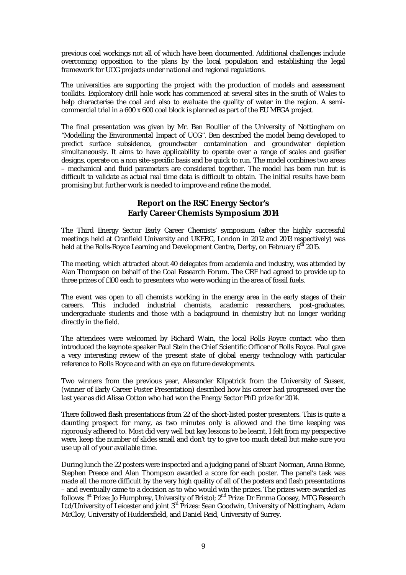previous coal workings not all of which have been documented. Additional challenges include overcoming opposition to the plans by the local population and establishing the legal framework for UCG projects under national and regional regulations.

The universities are supporting the project with the production of models and assessment toolkits. Exploratory drill hole work has commenced at several sites in the south of Wales to help characterise the coal and also to evaluate the quality of water in the region. A semicommercial trial in a 600 x 600 coal block is planned as part of the EU MEGA project.

The final presentation was given by Mr. Ben Roullier of the University of Nottingham on "Modelling the Environmental Impact of UCG". Ben described the model being developed to predict surface subsidence, groundwater contamination and groundwater depletion simultaneously. It aims to have applicability to operate over a range of scales and gasifier designs, operate on a non site-specific basis and be quick to run. The model combines two areas – mechanical and fluid parameters are considered together. The model has been run but is difficult to validate as actual real time data is difficult to obtain. The initial results have been promising but further work is needed to improve and refine the model.

## **Report on the RSC Energy Sector's Early Career Chemists Symposium 2014**

The Third Energy Sector Early Career Chemists' symposium (after the highly successful meetings held at Cranfield University and UKERC, London in 2012 and 2013 respectively) was held at the Rolls-Royce Learning and Development Centre, Derby, on February 6<sup>th</sup> 2015.

The meeting, which attracted about 40 delegates from academia and industry, was attended by Alan Thompson on behalf of the Coal Research Forum. The CRF had agreed to provide up to three prizes of £100 each to presenters who were working in the area of fossil fuels.

The event was open to all chemists working in the energy area in the early stages of their careers. This included industrial chemists, academic researchers, post-graduates, undergraduate students and those with a background in chemistry but no longer working directly in the field.

The attendees were welcomed by Richard Wain, the local Rolls Royce contact who then introduced the keynote speaker Paul Stein the Chief Scientific Officer of Rolls Royce. Paul gave a very interesting review of the present state of global energy technology with particular reference to Rolls Royce and with an eye on future developments.

Two winners from the previous year, Alexander Kilpatrick from the University of Sussex, (winner of Early Career Poster Presentation) described how his career had progressed over the last year as did Alissa Cotton who had won the Energy Sector PhD prize for 2014.

There followed flash presentations from 22 of the short-listed poster presenters. This is quite a daunting prospect for many, as two minutes only is allowed and the time keeping was rigorously adhered to. Most did very well but key lessons to be learnt, I felt from my perspective were, keep the number of slides small and don't try to give too much detail but make sure you use up all of your available time.

During lunch the 22 posters were inspected and a judging panel of Stuart Norman, Anna Bonne, Stephen Preece and Alan Thompson awarded a score for each poster. The panel's task was made all the more difficult by the very high quality of all of the posters and flash presentations – and eventually came to a decision as to who would win the prizes. The prizes were awarded as follows: 1<sup>st</sup> Prize: Jo Humphrey, University of Bristol; 2<sup>nd</sup> Prize: Dr Emma Goosey, MTG Research Ltd/University of Leicester and joint 3<sup>rd</sup> Prizes: Sean Goodwin, University of Nottingham, Adam McCloy, University of Huddersfield, and Daniel Reid, University of Surrey.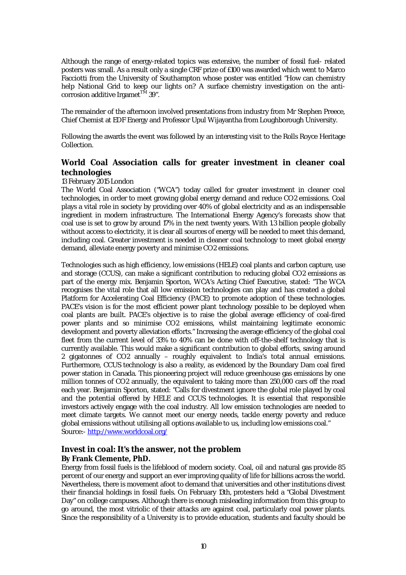Although the range of energy-related topics was extensive, the number of fossil fuel- related posters was small. As a result only a single CRF prize of £100 was awarded which went to Marco Facciotti from the University of Southampton whose poster was entitled "How can chemistry help National Grid to keep our lights on? A surface chemistry investigation on the anticorrosion additive Irgamet<sup>TM</sup> 39".

The remainder of the afternoon involved presentations from industry from Mr Stephen Preece, Chief Chemist at EDF Energy and Professor Upul Wijayantha from Loughborough University.

Following the awards the event was followed by an interesting visit to the Rolls Royce Heritage Collection.

## **World Coal Association calls for greater investment in cleaner coal technologies**

#### 13 February 2015 London

The World Coal Association ("WCA") today called for greater investment in cleaner coal technologies, in order to meet growing global energy demand and reduce CO2 emissions. Coal plays a vital role in society by providing over 40% of global electricity and as an indispensable ingredient in modern infrastructure. The International Energy Agency's forecasts show that coal use is set to grow by around 17% in the next twenty years. With 1.3 billion people globally without access to electricity, it is clear all sources of energy will be needed to meet this demand, including coal. Greater investment is needed in cleaner coal technology to meet global energy demand, alleviate energy poverty and minimise CO2 emissions.

Technologies such as high efficiency, low emissions (HELE) coal plants and carbon capture, use and storage (CCUS), can make a significant contribution to reducing global CO2 emissions as part of the energy mix. Benjamin Sporton, WCA's Acting Chief Executive, stated: "The WCA recognises the vital role that all low emission technologies can play and has created a global Platform for Accelerating Coal Efficiency (PACE) to promote adoption of these technologies. PACE's vision is for the most efficient power plant technology possible to be deployed when coal plants are built. PACE's objective is to raise the global average efficiency of coal-fired power plants and so minimise CO2 emissions, whilst maintaining legitimate economic development and poverty alleviation efforts." Increasing the average efficiency of the global coal fleet from the current level of 33% to 40% can be done with off-the-shelf technology that is currently available. This would make a significant contribution to global efforts, saving around 2 gigatonnes of CO2 annually – roughly equivalent to India's total annual emissions. Furthermore, CCUS technology is also a reality, as evidenced by the Boundary Dam coal fired power station in Canada. This pioneering project will reduce greenhouse gas emissions by one million tonnes of CO2 annually, the equivalent to taking more than 250,000 cars off the road each year. Benjamin Sporton, stated: "Calls for divestment ignore the global role played by coal and the potential offered by HELE and CCUS technologies. It is essential that responsible investors actively engage with the coal industry. All low emission technologies are needed to meet climate targets. We cannot meet our energy needs, tackle energy poverty and reduce global emissions without utilising all options available to us, including low emissions coal." Source:- http://www.worldcoal.org/

## **Invest in coal: It's the answer, not the problem By Frank Clemente, PhD.**

Energy from fossil fuels is the lifeblood of modern society. Coal, oil and natural gas provide 85 percent of our energy and support an ever improving quality of life for billions across the world. Nevertheless, there is movement afoot to demand that universities and other institutions divest their financial holdings in fossil fuels. On February 13th, protesters held a "Global Divestment Day" on college campuses. Although there is enough misleading information from this group to go around, the most vitriolic of their attacks are against coal, particularly coal power plants. Since the responsibility of a University is to provide education, students and faculty should be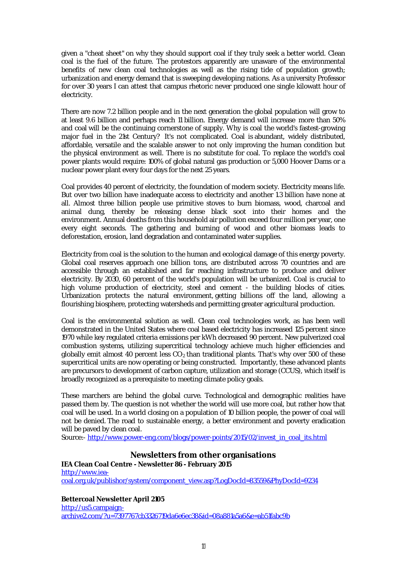given a "cheat sheet" on why they should support coal if they truly seek a better world. Clean coal is the fuel of the future. The protestors apparently are unaware of the environmental benefits of new clean coal technologies as well as the rising tide of population growth; urbanization and energy demand that is sweeping developing nations. As a university Professor for over 30 years I can attest that campus rhetoric never produced one single kilowatt hour of electricity.

There are now 7.2 billion people and in the next generation the global population will grow to at least 9.6 billion and perhaps reach 11 billion. Energy demand will increase more than 50% and coal will be the continuing cornerstone of supply. Why is coal the world's fastest-growing major fuel in the 21st Century? It's not complicated. Coal is abundant, widely distributed, affordable, versatile and the scalable answer to not only improving the human condition but the physical environment as well. There is no substitute for coal. To replace the world's coal power plants would require: 100% of global natural gas production or 5,000 Hoover Dams or a nuclear power plant every four days for the next 25 years.

Coal provides 40 percent of electricity, the foundation of modern society. Electricity means life. But over two billion have inadequate access to electricity and another 1.3 billion have none at all. Almost three billion people use primitive stoves to burn biomass, wood, charcoal and animal dung, thereby be releasing dense black soot into their homes and the environment. Annual deaths from this household air pollution exceed four million per year, one every eight seconds. The gathering and burning of wood and other biomass leads to deforestation, erosion, land degradation and contaminated water supplies.

Electricity from coal is the solution to the human and ecological damage of this energy poverty. Global coal reserves approach one billion tons, are distributed across 70 countries and are accessible through an established and far reaching infrastructure to produce and deliver electricity. By 2030, 60 percent of the world's population will be urbanized. Coal is crucial to high volume production of electricity, steel and cement - the building blocks of cities. Urbanization protects the natural environment, getting billions off the land, allowing a flourishing biosphere, protecting watersheds and permitting greater agricultural production.

Coal is the environmental solution as well. Clean coal technologies work, as has been well demonstrated in the United States where coal based electricity has increased 125 percent since 1970 while key regulated criteria emissions per kWh decreased 90 percent. New pulverized coal combustion systems, utilizing supercritical technology achieve much higher efficiencies and globally emit almost 40 percent less  $CO<sub>2</sub>$  than traditional plants. That's why over 500 of these supercritical units are now operating or being constructed. Importantly, these advanced plants are precursors to development of carbon capture, utilization and storage (CCUS), which itself is broadly recognized as a prerequisite to meeting climate policy goals.

These marchers are behind the global curve. Technological and demographic realities have passed them by. The question is not whether the world will use more coal, but rather how that coal will be used. In a world closing on a population of 10 billion people, the power of coal will not be denied. The road to sustainable energy, a better environment and poverty eradication will be paved by clean coal.

Source:- http://www.power-eng.com/blogs/power-points/2015/02/invest\_in\_coal\_its.html

## **Newsletters from other organisations**

**IEA Clean Coal Centre - Newsletter 86 - February 2015** http://www.ieacoal.org.uk/publishor/system/component\_view.asp?LogDocId=83559&PhyDocId=9234

**Bettercoal Newsletter April 2105**

http://us5.campaignarchive2.com/?u=7397767cb3326719da6e6ec38&id=08a881a5a6&e=ab51fabc9b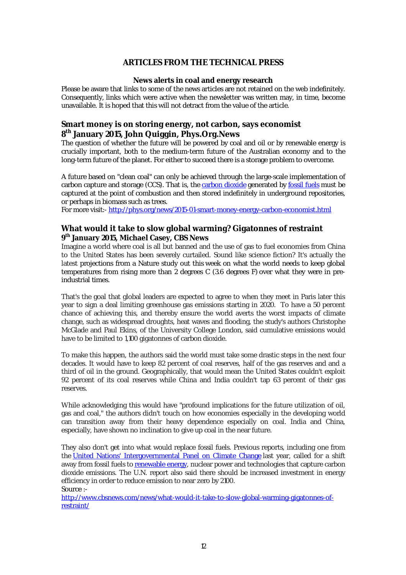## **ARTICLES FROM THE TECHNICAL PRESS**

#### **News alerts in coal and energy research**

Please be aware that links to some of the news articles are not retained on the web indefinitely. Consequently, links which were active when the newsletter was written may, in time, become unavailable. It is hoped that this will not detract from the value of the article.

## **Smart money is on storing energy, not carbon, says economist 8 th January 2015, John Quiggin, Phys.Org.News**

The question of whether the future will be powered by coal and oil or by renewable energy is crucially important, both to the medium-term future of the Australian economy and to the long-term future of the planet. For either to succeed there is a storage problem to overcome.

A future based on "clean coal" can only be achieved through the large-scale implementation of carbon capture and storage (CCS). That is, the carbon dioxide generated by fossil fuels must be captured at the point of combustion and then stored indefinitely in underground repositories, or perhaps in biomass such as trees.

For more visit:- http://phys.org/news/2015-01-smart-money-energy-carbon-economist.html

## **What would it take to slow global warming? Gigatonnes of restraint 9 th January 2015, Michael Casey, CBS News**

Imagine a world where coal is all but banned and the use of gas to fuel economies from China to the United States has been severely curtailed. Sound like science fiction? It's actually the latest projections from a Nature study out this week on what the world needs to keep global temperatures from rising more than 2 degrees C (3.6 degrees F) over what they were in preindustrial times.

That's the goal that global leaders are expected to agree to when they meet in Paris later this year to sign a deal limiting greenhouse gas emissions starting in 2020. To have a 50 percent chance of achieving this, and thereby ensure the world averts the worst impacts of climate change, such as widespread droughts, heat waves and flooding, the study's authors Christophe McGlade and Paul Ekins, of the University College London, said cumulative emissions would have to be limited to 1,100 gigatonnes of carbon dioxide.

To make this happen, the authors said the world must take some drastic steps in the next four decades. It would have to keep 82 percent of coal reserves, half of the gas reserves and and a third of oil in the ground. Geographically, that would mean the United States couldn't exploit 92 percent of its coal reserves while China and India couldn't tap 63 percent of their gas reserves.

While acknowledging this would have "profound implications for the future utilization of oil, gas and coal," the authors didn't touch on how economies especially in the developing world can transition away from their heavy dependence especially on coal. India and China, especially, have shown no inclination to give up coal in the near future.

They also don't get into what would replace fossil fuels. Previous reports, including one from the United Nations' Intergovernmental Panel on Climate Change last year, called for a shift away from fossil fuels to renewable energy, nuclear power and technologies that capture carbon dioxide emissions. The U.N. report also said there should be increased investment in energy efficiency in order to reduce emission to near zero by 2100. Source :-

http://www.cbsnews.com/news/what-would-it-take-to-slow-global-warming-gigatonnes-ofrestraint/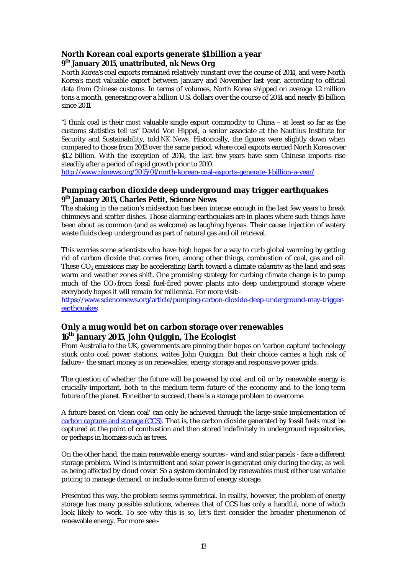## **North Korean coal exports generate \$1 billion a year 9 th January 2015, unattributed, nk News Org**

North Korea's coal exports remained relatively constant over the course of 2014, and were North Korea's most valuable export between January and November last year, according to official data from Chinese customs. In terms of volumes, North Korea shipped on average 1.2 million tons a month, generating over a billion U.S. dollars over the course of 2014 and nearly \$5 billion since 2011.

"I think coal is their most valuable single export commodity to China – at least so far as the customs statistics tell us" David Von Hippel, a senior associate at the Nautilus Institute for Security and Sustainability, told *NK News*. Historically, the figures were slightly down when compared to those from 2013 over the same period, where coal exports earned North Korea over \$1.2 billion. With the exception of 2014, the last few years have seen Chinese imports rise steadily after a period of rapid growth prior to 2010.

http://www.nknews.org/2015/01/north-korean-coal-exports-generate-1-billion-a-year/

## **Pumping carbon dioxide deep underground may trigger earthquakes 9 th January 2015, Charles Petit, Science News**

The shaking in the nation's midsection has been intense enough in the last few years to break chimneys and scatter dishes. Those alarming earthquakes are in places where such things have been about as common (and as welcome) as laughing hyenas. Their cause: injection of watery waste fluids deep underground as part of natural gas and oil retrieval.

This worries some scientists who have high hopes for a way to curb global warming by getting rid of carbon dioxide that comes from, among other things, combustion of coal, gas and oil. These  $CO<sub>2</sub>$  emissions may be accelerating Earth toward a climate calamity as the land and seas warm and weather zones shift. One promising strategy for curbing climate change is to pump much of the  $CO<sub>2</sub>$  from fossil fuel-fired power plants into deep underground storage where everybody hopes it will remain for millennia. For more visit:-

https://www.sciencenews.org/article/pumping-carbon-dioxide-deep-underground-may-triggerearthquakes

## **Only a mug would bet on carbon storage over renewables 16th January 2015, John Quiggin, The Ecologist**

From Australia to the UK, governments are pinning their hopes on 'carbon capture' technology stuck onto coal power stations, writes John Quiggin. But their choice carries a high risk of failure - the smart money is on renewables, energy storage and responsive power grids.

The question of whether the future will be powered by coal and oil or by renewable energy is crucially important, both to the medium-term future of the economy and to the long-term future of the planet. For either to succeed, there is a storage problem to overcome.

A future based on 'clean coal' can only be achieved through the large-scale implementation of carbon capture and storage (CCS). That is, the carbon dioxide generated by fossil fuels must be captured at the point of combustion and then stored indefinitely in underground repositories, or perhaps in biomass such as trees.

On the other hand, the main renewable energy sources - wind and solar panels - face a different storage problem. Wind is intermittent and solar power is generated only during the day, as well as being affected by cloud cover. So a system dominated by renewables must either use variable pricing to manage demand, or include some form of energy storage.

Presented this way, the problem seems symmetrical. In reality, however, the problem of energy storage has many possible solutions, whereas that of CCS has only a handful, none of which look likely to work. To see why this is so, let's first consider the broader phenomenon of renewable energy. For more see:-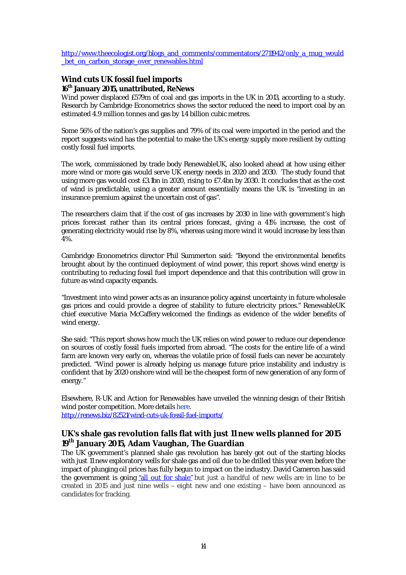http://www.theecologist.org/blogs\_and\_comments/commentators/2711942/only\_a\_mug\_would bet on carbon storage over renewables.html

## **Wind cuts UK fossil fuel imports 16th January 2015, unattributed, ReNews**

Wind power displaced £579m of coal and gas imports in the UK in 2013, according to a study. Research by Cambridge Econometrics shows the sector reduced the need to import coal by an estimated 4.9 million tonnes and gas by 1.4 billion cubic metres.

Some 56% of the nation's gas supplies and 79% of its coal were imported in the period and the report suggests wind has the potential to make the UK's energy supply more resilient by cutting costly fossil fuel imports.

The work, commissioned by trade body RenewableUK, also looked ahead at how using either more wind or more gas would serve UK energy needs in 2020 and 2030. The study found that using more gas would cost £3.1bn in 2020, rising to £7.4bn by 2030. It concludes that as the cost of wind is predictable, using a greater amount essentially means the UK is "investing in an insurance premium against the uncertain cost of gas".

The researchers claim that if the cost of gas increases by 2030 in line with government's high prices forecast rather than its central prices forecast, giving a 41% increase, the cost of generating electricity would rise by 8%, whereas using more wind it would increase by less than 4%.

Cambridge Econometrics director Phil Summerton said: "Beyond the environmental benefits brought about by the continued deployment of wind power, this report shows wind energy is contributing to reducing fossil fuel import dependence and that this contribution will grow in future as wind capacity expands.

"Investment into wind power acts as an insurance policy against uncertainty in future wholesale gas prices and could provide a degree of stability to future electricity prices." RenewableUK chief executive Maria McCaffery welcomed the findings as evidence of the wider benefits of wind energy.

She said: "This report shows how much the UK relies on wind power to reduce our dependence on sources of costly fossil fuels imported from abroad. "The costs for the entire life of a wind farm are known very early on, whereas the volatile price of fossil fuels can never be accurately predicted. "Wind power is already helping us manage future price instability and industry is confident that by 2020 onshore wind will be the cheapest form of new generation of any form of energy."

Elsewhere, R-UK and Action for Renewables have unveiled the winning design of their British wind poster competition. More details here. http://renews.biz/82521/wind-cuts-uk-fossil-fuel-imports/

## **UK's shale gas revolution falls flat with just 11 new wells planned for 2015 19th January 2015, Adam Vaughan, The Guardian**

The UK government's planned shale gas revolution has barely got out of the starting blocks with just 11 new exploratory wells for shale gas and oil due to be drilled this year even before the impact of plunging oil prices has fully begun to impact on the industry. David Cameron has said the government is going "all out for shale" but just a handful of new wells are in line to be created in 2015 and just nine wells – eight new and one existing – have been announced as candidates for fracking.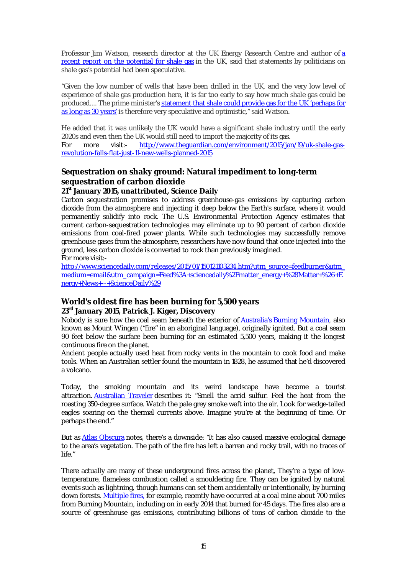Professor Jim Watson, research director at the UK Energy Research Centre and author of a recent report on the potential for shale gas in the UK, said that statements by politicians on shale gas's potential had been speculative.

"Given the low number of wells that have been drilled in the UK, and the very low level of experience of shale gas production here, it is far too early to say how much shale gas could be produced.... The prime minister's statement that shale could provide gas for the UK 'perhaps for as long as 30 years' is therefore very speculative and optimistic," said Watson.

He added that it was unlikely the UK would have a significant shale industry until the early 2020s and even then the UK would still need to import the majority of its gas. For more visit:- http://www.theguardian.com/environment/2015/jan/19/uk-shale-gasrevolution-falls-flat-just-11-new-wells-planned-2015

# **Sequestration on shaky ground: Natural impediment to long-term sequestration of carbon dioxide**

## **21st January 2015, unattributed, Science Daily**

Carbon sequestration promises to address greenhouse-gas emissions by capturing carbon dioxide from the atmosphere and injecting it deep below the Earth's surface, where it would permanently solidify into rock. The U.S. Environmental Protection Agency estimates that current carbon-sequestration technologies may eliminate up to 90 percent of carbon dioxide emissions from coal-fired power plants. While such technologies may successfully remove greenhouse gases from the atmosphere, researchers have now found that once injected into the ground, less carbon dioxide is converted to rock than previously imagined. For more visit:-

http://www.sciencedaily.com/releases/2015/01/150121103234.htm?utm\_source=feedburner&utm\_ medium=email&utm\_campaign=Feed%3A+sciencedaily%2Fmatter\_energy+%28Matter+%26+E nergy+News+--+ScienceDaily%29

## **World's oldest fire has been burning for 5,500 years 23rd January 2015, Patrick J. Kiger, Discovery**

Nobody is sure how the coal seam beneath the exterior of Australia's Burning Mountain, also known as Mount Wingen ("fire" in an aboriginal language), originally ignited. But a coal seam 90 feet below the surface been burning for an estimated 5,500 years, making it the longest continuous fire on the planet.

Ancient people actually used heat from rocky vents in the mountain to cook food and make tools. When an Australian settler found the mountain in 1828, he assumed that he'd discovered a volcano.

Today, the smoking mountain and its weird landscape have become a tourist attraction. Australian Traveler describes it: "Smell the acrid sulfur. Feel the heat from the roasting 350-degree surface. Watch the pale grey smoke waft into the air. Look for wedge-tailed eagles soaring on the thermal currents above. Imagine you're at the beginning of time. Or perhaps the end."

But as Atlas Obscura notes, there's a downside: "It has also caused massive ecological damage to the area's vegetation. The path of the fire has left a barren and rocky trail, with no traces of life."

There actually are many of these underground fires across the planet, They're a type of lowtemperature, flameless combustion called a smouldering fire. They can be ignited by natural events such as lightning, though humans can set them accidentally or intentionally, by burning down forests. Multiple fires, for example, recently have occurred at a coal mine about 700 miles from Burning Mountain, including on in early 2014 that burned for 45 days. The fires also are a source of greenhouse gas emissions, contributing billions of tons of carbon dioxide to the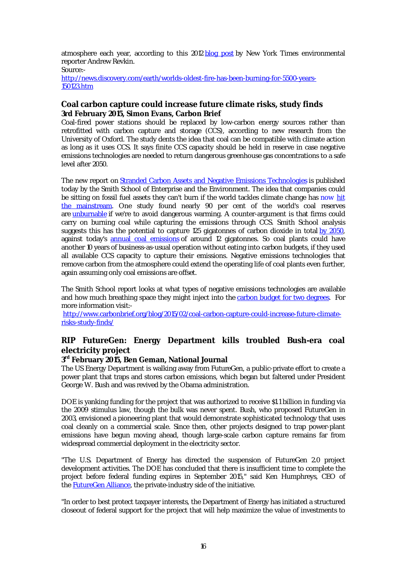atmosphere each year, according to this 2012 blog post by New York Times environmental reporter Andrew Revkin.

Source:-

http://news.discovery.com/earth/worlds-oldest-fire-has-been-burning-for-5500-years-150123.htm

## **Coal carbon capture could increase future climate risks, study finds 3rd February 2015, Simon Evans, Carbon Brief**

Coal-fired power stations should be replaced by low-carbon energy sources rather than retrofitted with carbon capture and storage (CCS), according to new research from the University of Oxford. The study dents the idea that coal can be compatible with climate action as long as it uses CCS. It says finite CCS capacity should be held in reserve in case negative emissions technologies are needed to return dangerous greenhouse gas concentrations to a safe level after 2050.

The new report on Stranded Carbon Assets and Negative Emissions Technologies is published today by the Smith School of Enterprise and the Environment. The idea that companies could be sitting on fossil fuel assets they can't burn if the world tackles climate change has now hit the mainstream. One study found nearly 90 per cent of the world's coal reserves are unburnable if we're to avoid dangerous warming. A counter-argument is that firms could carry on burning coal while capturing the emissions through CCS. Smith School analysis suggests this has the potential to capture 125 gigatonnes of carbon dioxide in total by 2050, against today's annual coal emissions of around 12 gigatonnes. So coal plants could have another 10 years of business-as-usual operation without eating into carbon budgets, if they used all available CCS capacity to capture their emissions. Negative emissions technologies that remove carbon from the atmosphere could extend the operating life of coal plants even further, again assuming only coal emissions are offset.

The Smith School report looks at what types of negative emissions technologies are available and how much breathing space they might inject into the carbon budget for two degrees. For more information visit:-

http://www.carbonbrief.org/blog/2015/02/coal-carbon-capture-could-increase-future-climaterisks-study-finds/

# **RIP FutureGen: Energy Department kills troubled Bush-era coal electricity project**

## **3 rd February 2015, Ben Geman, National Journal**

The US Energy Department is walking away from FutureGen, a public-private effort to create a power plant that traps and stores carbon emissions, which began but faltered under President George W. Bush and was revived by the Obama administration.

DOE is yanking funding for the project that was authorized to receive \$1.1 billion in funding via the 2009 stimulus law, though the bulk was never spent. Bush, who proposed FutureGen in 2003, envisioned a pioneering plant that would demonstrate sophisticated technology that uses coal cleanly on a commercial scale. Since then, other projects designed to trap power-plant emissions have begun moving ahead, though large-scale carbon capture remains far from widespread commercial deployment in the electricity sector.

"The U.S. Department of Energy has directed the suspension of FutureGen 2.0 project development activities. The DOE has concluded that there is insufficient time to complete the project before federal funding expires in September 2015," said Ken Humphreys, CEO of the FutureGen Alliance, the private-industry side of the initiative.

"In order to best protect taxpayer interests, the Department of Energy has initiated a structured closeout of federal support for the project that will help maximize the value of investments to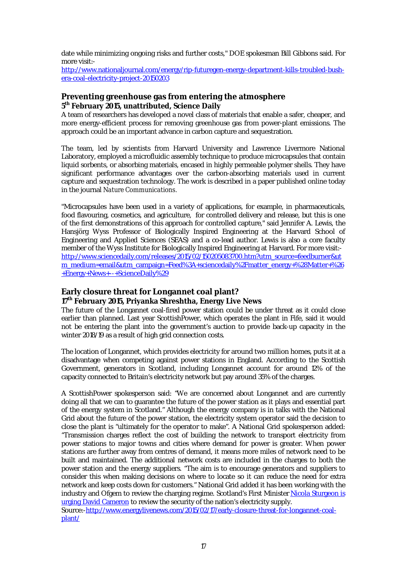date while minimizing ongoing risks and further costs," DOE spokesman Bill Gibbons said. For more visit:-

http://www.nationaljournal.com/energy/rip-futuregen-energy-department-kills-troubled-bushera-coal-electricity-project-20150203

## **Preventing greenhouse gas from entering the atmosphere 5 th February 2015, unattributed, Science Daily**

A team of researchers has developed a novel class of materials that enable a safer, cheaper, and more energy-efficient process for removing greenhouse gas from power-plant emissions. The approach could be an important advance in carbon capture and sequestration.

The team, led by scientists from Harvard University and Lawrence Livermore National Laboratory, employed a microfluidic assembly technique to produce microcapsules that contain liquid sorbents, or absorbing materials, encased in highly permeable polymer shells. They have significant performance advantages over the carbon-absorbing materials used in current capture and sequestration technology. The work is described in a paper published online today in the journal *Nature Communications.*

"Microcapsules have been used in a variety of applications, for example, in pharmaceuticals, food flavouring, cosmetics, and agriculture, for controlled delivery and release, but this is one of the first demonstrations of this approach for controlled capture," said Jennifer A. Lewis, the Hansjörg Wyss Professor of Biologically Inspired Engineering at the Harvard School of Engineering and Applied Sciences (SEAS) and a co-lead author. Lewis is also a core faculty member of the Wyss Institute for Biologically Inspired Engineering at Harvard. For more visit: http://www.sciencedaily.com/releases/2015/02/150205083700.htm?utm\_source=feedburner&ut m\_medium=email&utm\_campaign=Feed%3A+sciencedaily%2Fmatter\_energy+%28Matter+%26 +Energy+News+--+ScienceDaily%29

## **Early closure threat for Longannet coal plant?**

## **17th February 2015, Priyanka Shreshtha, Energy Live News**

The future of the Longannet coal-fired power station could be under threat as it could close earlier than planned. Last year ScottishPower, which operates the plant in Fife, said it would not be entering the plant into the government's auction to provide back-up capacity in the winter 2018/19 as a result of high grid connection costs.

The location of Longannet, which provides electricity for around two million homes, puts it at a disadvantage when competing against power stations in England. According to the Scottish Government, generators in Scotland, including Longannet account for around 12% of the capacity connected to Britain's electricity network but pay around 35% of the charges.

A ScottishPower spokesperson said: "We are concerned about Longannet and are currently doing all that we can to guarantee the future of the power station as it plays and essential part of the energy system in Scotland." Although the energy company is in talks with the National Grid about the future of the power station, the electricity system operator said the decision to close the plant is "ultimately for the operator to make". A National Grid spokesperson added: "Transmission charges reflect the cost of building the network to transport electricity from power stations to major towns and cities where demand for power is greater. When power stations are further away from centres of demand, it means more miles of network need to be built and maintained. The additional network costs are included in the charges to both the power station and the energy suppliers. "The aim is to encourage generators and suppliers to consider this when making decisions on where to locate so it can reduce the need for extra network and keep costs down for customers." National Grid added it has been working with the industry and Ofgem to review the charging regime. Scotland's First Minister Nicola Sturgeon is urging David Cameron to review the security of the nation's electricity supply.

Source:-http://www.energylivenews.com/2015/02/17/early-closure-threat-for-longannet-coalplant/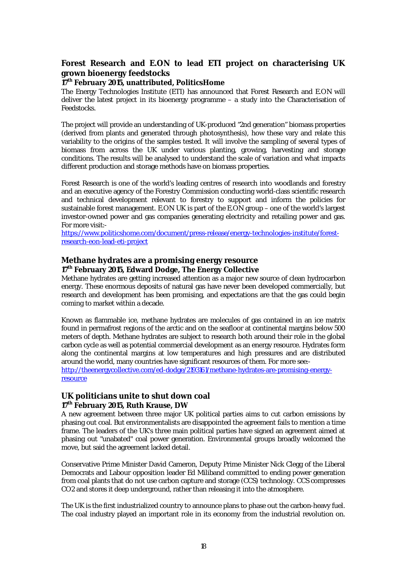## **Forest Research and E.ON to lead ETI project on characterising UK grown bioenergy feedstocks**

#### **17th February 2015, unattributed, PoliticsHome**

The Energy Technologies Institute (ETI) has announced that Forest Research and E.ON will deliver the latest project in its bioenergy programme – a study into the Characterisation of Feedstocks.

The project will provide an understanding of UK-produced "2nd generation" biomass properties (derived from plants and generated through photosynthesis), how these vary and relate this variability to the origins of the samples tested. It will involve the sampling of several types of biomass from across the UK under various planting, growing, harvesting and storage conditions. The results will be analysed to understand the scale of variation and what impacts different production and storage methods have on biomass properties.

Forest Research is one of the world's leading centres of research into woodlands and forestry and an executive agency of the Forestry Commission conducting world-class scientific research and technical development relevant to forestry to support and inform the policies for sustainable forest management. E.ON UK is part of the E.ON group – one of the world's largest investor-owned power and gas companies generating electricity and retailing power and gas. For more visit:-

https://www.politicshome.com/document/press-release/energy-technologies-institute/forestresearch-eon-lead-eti-project

#### **Methane hydrates are a promising energy resource 17th February 2015, Edward Dodge, The Energy Collective**

Methane hydrates are getting increased attention as a major new source of clean hydrocarbon energy. These enormous deposits of natural gas have never been developed commercially, but research and development has been promising, and expectations are that the gas could begin coming to market within a decade.

Known as flammable ice, methane hydrates are molecules of gas contained in an ice matrix found in permafrost regions of the arctic and on the seafloor at continental margins below 500 meters of depth. Methane hydrates are subject to research both around their role in the global carbon cycle as well as potential commercial development as an energy resource. Hydrates form along the continental margins at low temperatures and high pressures and are distributed around the world, many countries have significant resources of them. For more see: http://theenergycollective.com/ed-dodge/2193161/methane-hydrates-are-promising-energy-

resource

## **UK politicians unite to shut down coal 17th February 2015, Ruth Krause, DW**

A new agreement between three major UK political parties aims to cut carbon emissions by phasing out coal. But environmentalists are disappointed the agreement fails to mention a time frame. The leaders of the UK's three main political parties have signed an agreement aimed at phasing out "unabated" coal power generation. Environmental groups broadly welcomed the move, but said the agreement lacked detail.

Conservative Prime Minister David Cameron, Deputy Prime Minister Nick Clegg of the Liberal Democrats and Labour opposition leader Ed Miliband committed to ending power generation from coal plants that do not use carbon capture and storage (CCS) technology. CCS compresses CO2 and stores it deep underground, rather than releasing it into the atmosphere.

The UK is the first industrialized country to announce plans to phase out the carbon-heavy fuel. The coal industry played an important role in its economy from the industrial revolution on.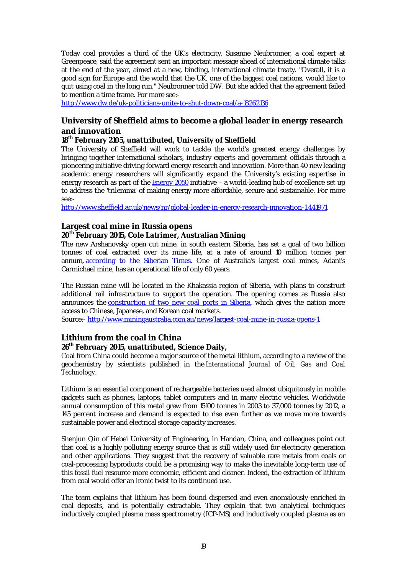Today coal provides a third of the UK's electricity. Susanne Neubronner, a coal expert at Greenpeace, said the agreement sent an important message ahead of international climate talks at the end of the year, aimed at a new, binding, international climate treaty. "Overall, it is a good sign for Europe and the world that the UK, one of the biggest coal nations, would like to quit using coal in the long run," Neubronner told DW. But she added that the agreement failed to mention a time frame. For more see:-

http://www.dw.de/uk-politicians-unite-to-shut-down-coal/a-18262136

## **University of Sheffield aims to become a global leader in energy research and innovation**

## **18th February 2105, unattributed, University of Sheffield**

The University of Sheffield will work to tackle the world's greatest energy challenges by bringing together international scholars, industry experts and government officials through a pioneering initiative driving forward energy research and innovation. More than 40 new leading academic energy researchers will significantly expand the University's existing expertise in energy research as part of the Energy 2050 initiative – a world-leading hub of excellence set up to address the 'trilemma' of making energy more affordable, secure and sustainable. For more see:-

http://www.sheffield.ac.uk/news/nr/global-leader-in-energy-research-innovation-1.441971

## **Largest coal mine in Russia opens**

## **20th February 2015, Cole Latrimer, Australian Mining**

The new Arshanovsky open cut mine, in south eastern Siberia, has set a goal of two billion tonnes of coal extracted over its mine life, at a rate of around 10 million tonnes per annum, according to the Siberian Times. One of Australia's largest coal mines, Adani's Carmichael mine, has an operational life of only 60 years.

The Russian mine will be located in the Khakassia region of Siberia, with plans to construct additional rail infrastructure to support the operation. The opening comes as Russia also announces the **construction of two new coal ports in Siberia**, which gives the nation more access to Chinese, Japanese, and Korean coal markets.

Source:- http://www.miningaustralia.com.au/news/largest-coal-mine-in-russia-opens-1

## **Lithium from the coal in China**

## **26th February 2015, unattributed, Science Daily,**

Coal from China could become a major source of the metal lithium, according to a review of the geochemistry by scientists published in the *International Journal of Oil, Gas and Coal Technology*.

Lithium is an essential component of rechargeable batteries used almost ubiquitously in mobile gadgets such as phones, laptops, tablet computers and in many electric vehicles. Worldwide annual consumption of this metal grew from 15100 tonnes in 2003 to 37,000 tonnes by 2012, a 145 percent increase and demand is expected to rise even further as we move more towards sustainable power and electrical storage capacity increases.

Shenjun Qin of Hebei University of Engineering, in Handan, China, and colleagues point out that coal is a highly polluting energy source that is still widely used for electricity generation and other applications. They suggest that the recovery of valuable rare metals from coals or coal-processing byproducts could be a promising way to make the inevitable long-term use of this fossil fuel resource more economic, efficient and cleaner. Indeed, the extraction of lithium from coal would offer an ironic twist to its continued use.

The team explains that lithium has been found dispersed and even anomalously enriched in coal deposits, and is potentially extractable. They explain that two analytical techniques inductively coupled plasma mass spectrometry (ICP-MS) and inductively coupled plasma as an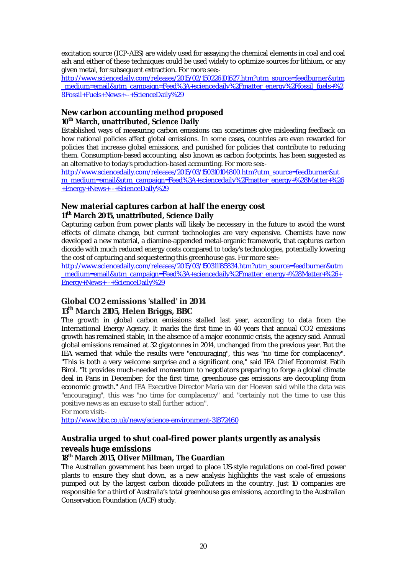excitation source (ICP-AES) are widely used for assaying the chemical elements in coal and coal ash and either of these techniques could be used widely to optimize sources for lithium, or any given metal, for subsequent extraction. For more see:-

http://www.sciencedaily.com/releases/2015/02/150226101627.htm?utm\_source=feedburner&utm \_medium=email&utm\_campaign=Feed%3A+sciencedaily%2Fmatter\_energy%2Ffossil\_fuels+%2 8Fossil+Fuels+News+--+ScienceDaily%29

#### **New carbon accounting method proposed 10th March, unattributed, Science Daily**

Established ways of measuring carbon emissions can sometimes give misleading feedback on how national policies affect global emissions. In some cases, countries are even rewarded for policies that increase global emissions, and punished for policies that contribute to reducing them. Consumption-based accounting, also known as carbon footprints, has been suggested as an alternative to today's production-based accounting. For more see:-

http://www.sciencedaily.com/releases/2015/03/150310104800.htm?utm\_source=feedburner&ut m\_medium=email&utm\_campaign=Feed%3A+sciencedaily%2Fmatter\_energy+%28Matter+%26 +Energy+News+--+ScienceDaily%29

## **New material captures carbon at half the energy cost 11th March 2015, unattributed, Science Daily**

Capturing carbon from power plants will likely be necessary in the future to avoid the worst effects of climate change, but current technologies are very expensive. Chemists have now developed a new material, a diamine-appended metal-organic framework, that captures carbon dioxide with much reduced energy costs compared to today's technologies, potentially lowering the cost of capturing and sequestering this greenhouse gas. For more see:-

http://www.sciencedaily.com/releases/2015/03/150311185834.htm?utm\_source=feedburner&utm \_medium=email&utm\_campaign=Feed%3A+sciencedaily%2Fmatter\_energy+%28Matter+%26+ Energy+News+--+ScienceDaily%29

## **Global CO2 emissions 'stalled' in 2014 13th March 2105, Helen Briggs, BBC**

The growth in global carbon emissions stalled last year, according to data from the International Energy Agency. It marks the first time in 40 years that annual CO2 emissions growth has remained stable, in the absence of a major economic crisis, the agency said. Annual global emissions remained at 32 gigatonnes in 2014, unchanged from the previous year. But the IEA warned that while the results were "encouraging", this was "no time for complacency". "This is both a very welcome surprise and a significant one," said IEA Chief Economist Fatih Birol. "It provides much-needed momentum to negotiators preparing to forge a global climate deal in Paris in December: for the first time, greenhouse gas emissions are decoupling from economic growth." And IEA Executive Director Maria van der Hoeven said while the data was "encouraging", this was "no time for complacency" and "certainly not the time to use this positive news as an excuse to stall further action".

For more visit:-

http://www.bbc.co.uk/news/science-environment-31872460

# **Australia urged to shut coal-fired power plants urgently as analysis reveals huge emissions**

## **18th March 2015, Oliver Millman, The Guardian**

The Australian government has been urged to place US-style regulations on coal-fired power plants to ensure they shut down, as a new analysis highlights the vast scale of emissions pumped out by the largest carbon dioxide polluters in the country. Just 10 companies are responsible for a third of Australia's total greenhouse gas emissions, according to the Australian Conservation Foundation (ACF) study.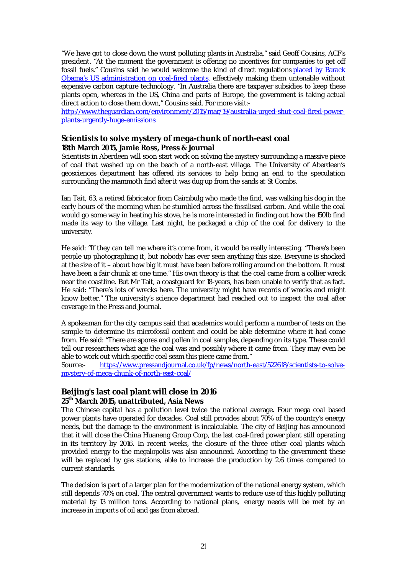"We have got to close down the worst polluting plants in Australia," said Geoff Cousins, ACF's president. "At the moment the government is offering no incentives for companies to get off fossil fuels." Cousins said he would welcome the kind of direct regulations placed by Barack Obama's US administration on coal-fired plants, effectively making them untenable without expensive carbon capture technology. "In Australia there are taxpayer subsidies to keep these plants open, whereas in the US, China and parts of Europe, the government is taking actual direct action to close them down," Cousins said. For more visit:-

http://www.theguardian.com/environment/2015/mar/19/australia-urged-shut-coal-fired-powerplants-urgently-huge-emissions

## **Scientists to solve mystery of mega-chunk of north-east coal 18th March 2015, Jamie Ross, Press & Journal**

Scientists in Aberdeen will soon start work on solving the mystery surrounding a massive piece of coal that washed up on the beach of a north-east village. The University of Aberdeen's geosciences department has offered its services to help bring an end to the speculation surrounding the mammoth find after it was dug up from the sands at St Combs.

Ian Tait, 63, a retired fabricator from Cairnbulg who made the find, was walking his dog in the early hours of the morning when he stumbled across the fossilised carbon. And while the coal would go some way in heating his stove, he is more interested in finding out how the 150lb find made its way to the village. Last night, he packaged a chip of the coal for delivery to the university.

He said: "If they can tell me where it's come from, it would be really interesting. "There's been people up photographing it, but nobody has ever seen anything this size. Everyone is shocked at the size of it – about how big it must have been before rolling around on the bottom. It must have been a fair chunk at one time." His own theory is that the coal came from a collier wreck near the coastline. But Mr Tait, a coastguard for 18-years, has been unable to verify that as fact. He said: "There's lots of wrecks here. The university might have records of wrecks and might know better." The university's science department had reached out to inspect the coal after coverage in the Press and Journal.

A spokesman for the city campus said that academics would perform a number of tests on the sample to determine its microfossil content and could be able determine where it had come from. He said: "There are spores and pollen in coal samples, depending on its type. These could tell our researchers what age the coal was and possibly where it came from. They may even be able to work out which specific coal seam this piece came from."

Source:- https://www.pressandjournal.co.uk/fp/news/north-east/522618/scientists-to-solvemystery-of-mega-chunk-of-north-east-coal/

## **Beijing's last coal plant will close in 2016 25th March 2015, unattributed, Asia News**

The Chinese capital has a pollution level twice the national average. Four mega coal based power plants have operated for decades. Coal still provides about 70% of the country's energy needs, but the damage to the environment is incalculable. The city of Beijing has announced that it will close the China Huaneng Group Corp, the last coal-fired power plant still operating in its territory by 2016. In recent weeks, the closure of the three other coal plants which provided energy to the megalopolis was also announced. According to the government these will be replaced by gas stations, able to increase the production by 2.6 times compared to current standards.

The decision is part of a larger plan for the modernization of the national energy system, which still depends 70% on coal. The central government wants to reduce use of this highly polluting material by 13 million tons. According to national plans, energy needs will be met by an increase in imports of oil and gas from abroad.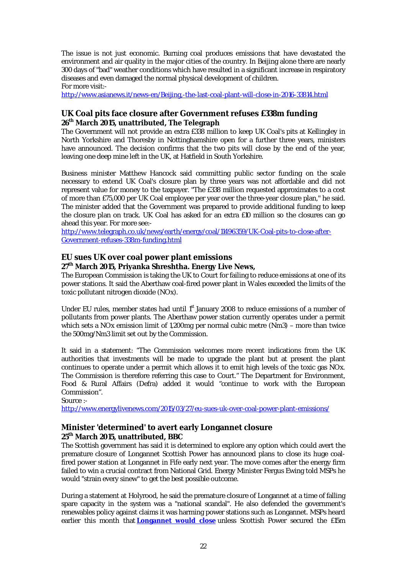The issue is not just economic. Burning coal produces emissions that have devastated the environment and air quality in the major cities of the country. In Beijing alone there are nearly 300 days of "bad" weather conditions which have resulted in a significant increase in respiratory diseases and even damaged the normal physical development of children. For more visit:-

http://www.asianews.it/news-en/Beijing,-the-last-coal-plant-will-close-in-2016-33814.html

## **UK Coal pits face closure after Government refuses £338m funding 26th March 2015, unattributed, The Telegraph**

The Government will not provide an extra £338 million to keep UK Coal's pits at Kellingley in North Yorkshire and Thoresby in Nottinghamshire open for a further three years, ministers have announced. The decision confirms that the two pits will close by the end of the year, leaving one deep mine left in the UK, at Hatfield in South Yorkshire.

Business minister Matthew Hancock said committing public sector funding on the scale necessary to extend UK Coal's closure plan by three years was not affordable and did not represent value for money to the taxpayer. "The £338 million requested approximates to a cost of more than £75,000 per UK Coal employee per year over the three-year closure plan," he said. The minister added that the Government was prepared to provide additional funding to keep the closure plan on track. UK Coal has asked for an extra £10 million so the closures can go ahead this year. For more see:-

http://www.telegraph.co.uk/news/earth/energy/coal/11496359/UK-Coal-pits-to-close-after-Government-refuses-338m-funding.html

## **EU sues UK over coal power plant emissions**

## **27th March 2015, Priyanka Shreshtha. Energy Live News,**

The European Commission is taking the UK to Court for failing to reduce emissions at one of its power stations. It said the Aberthaw coal-fired power plant in Wales exceeded the limits of the toxic pollutant nitrogen dioxide (NOx).

Under EU rules, member states had until 1<sup>st</sup> January 2008 to reduce emissions of a number of pollutants from power plants. The Aberthaw power station currently operates under a permit which sets a NOx emission limit of 1,200mg per normal cubic metre (Nm3) – more than twice the 500mg/Nm3 limit set out by the Commission.

It said in a statement: "The Commission welcomes more recent indications from the UK authorities that investments will be made to upgrade the plant but at present the plant continues to operate under a permit which allows it to emit high levels of the toxic gas NOx. The Commission is therefore referring this case to Court." The Department for Environment, Food & Rural Affairs (Defra) added it would "continue to work with the European Commission".

Source :-

http://www.energylivenews.com/2015/03/27/eu-sues-uk-over-coal-power-plant-emissions/

## **Minister 'determined' to avert early Longannet closure 25th March 2015, unattributed, BBC**

The Scottish government has said it is determined to explore any option which could avert the premature closure of Longannet Scottish Power has announced plans to close its huge coalfired power station at Longannet in Fife early next year. The move comes after the energy firm failed to win a crucial contract from National Grid. Energy Minister Fergus Ewing told MSPs he would "strain every sinew" to get the best possible outcome.

During a statement at Holyrood, he said the premature closure of Longannet at a time of falling spare capacity in the system was a "national scandal". He also defended the government's renewables policy against claims it was harming power stations such as Longannet. MSPs heard earlier this month that **Longannet would close** unless Scottish Power secured the £15m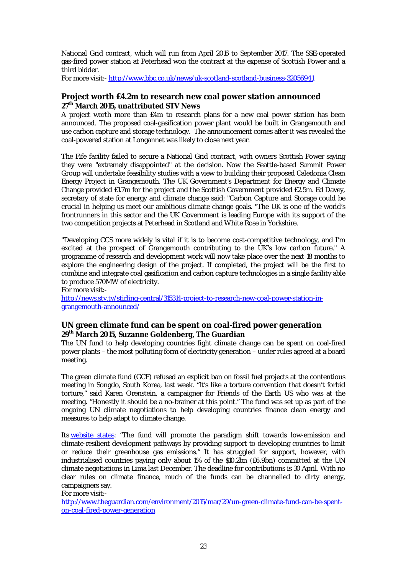National Grid contract, which will run from April 2016 to September 2017. The SSE-operated gas-fired power station at Peterhead won the contract at the expense of Scottish Power and a third bidder.

For more visit:- http://www.bbc.co.uk/news/uk-scotland-scotland-business-32056941

#### **Project worth £4.2m to research new coal power station announced 27th March 2015, unattributed STV News**

A project worth more than £4m to research plans for a new coal power station has been announced. The proposed coal-gasification power plant would be built in Grangemouth and use carbon capture and storage technology. The announcement comes after it was revealed the coal-powered station at Longannet was likely to close next year.

The Fife facility failed to secure a National Grid contract, with owners Scottish Power saying they were "extremely disappointed" at the decision. Now the Seattle-based Summit Power Group will undertake feasibility studies with a view to building their proposed Caledonia Clean Energy Project in Grangemouth. The UK Government's Department for Energy and Climate Change provided £1.7m for the project and the Scottish Government provided £2.5m. Ed Davey, secretary of state for energy and climate change said: "Carbon Capture and Storage could be crucial in helping us meet our ambitious climate change goals. "The UK is one of the world's frontrunners in this sector and the UK Government is leading Europe with its support of the two competition projects at Peterhead in Scotland and White Rose in Yorkshire.

"Developing CCS more widely is vital if it is to become cost-competitive technology, and I'm excited at the prospect of Grangemouth contributing to the UK's low carbon future." A programme of research and development work will now take place over the next 18 months to explore the engineering design of the project. If completed, the project will be the first to combine and integrate coal gasification and carbon capture technologies in a single facility able to produce 570MW of electricity.

For more visit: http://news.stv.tv/stirling-central/315314-project-to-research-new-coal-power-station-ingrangemouth-announced/

## **UN green climate fund can be spent on coal-fired power generation 29th March 2015, Suzanne Goldenberg, The Guardian**

The UN fund to help developing countries fight climate change can be spent on coal-fired power plants – the most polluting form of electricity generation – under rules agreed at a board meeting.

The green climate fund (GCF) refused an explicit ban on fossil fuel projects at the contentious meeting in Songdo, South Korea, last week. "It's like a torture convention that doesn't forbid torture," said Karen Orenstein, a campaigner for Friends of the Earth US who was at the meeting. "Honestly it should be a no-brainer at this point." The fund was set up as part of the ongoing UN climate negotiations to help developing countries finance clean energy and measures to help adapt to climate change.

Its website states: "The fund will promote the paradigm shift towards low-emission and climate-resilient development pathways by providing support to developing countries to limit or reduce their greenhouse gas emissions." It has struggled for support, however, with industrialised countries paying only about 1% of the \$10.2bn (£6.9bn) committed at the UN climate negotiations in Lima last December. The deadline for contributions is 30 April. With no clear rules on climate finance, much of the funds can be channelled to dirty energy, campaigners say.

For more visit:-

http://www.theguardian.com/environment/2015/mar/29/un-green-climate-fund-can-be-spenton-coal-fired-power-generation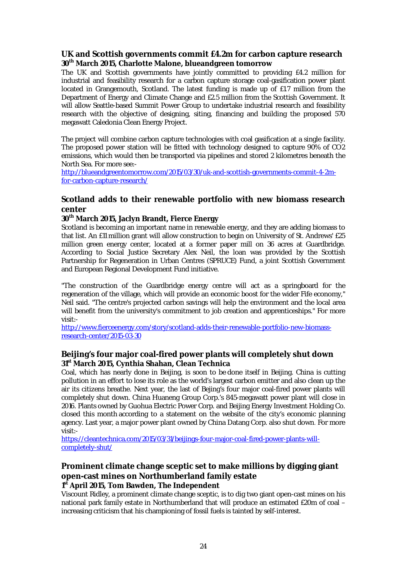## **UK and Scottish governments commit £4.2m for carbon capture research 30th March 2015, Charlotte Malone, blueandgreen tomorrow**

The UK and Scottish governments have jointly committed to providing £4.2 million for industrial and feasibility research for a carbon capture storage coal-gasification power plant located in Grangemouth, Scotland. The latest funding is made up of £1.7 million from the Department of Energy and Climate Change and £2.5 million from the Scottish Government. It will allow Seattle-based Summit Power Group to undertake industrial research and feasibility research with the objective of designing, siting, financing and building the proposed 570 megawatt Caledonia Clean Energy Project.

The project will combine carbon capture technologies with coal gasification at a single facility. The proposed power station will be fitted with technology designed to capture 90% of CO2 emissions, which would then be transported via pipelines and stored 2 kilometres beneath the North Sea. For more see:-

http://blueandgreentomorrow.com/2015/03/30/uk-and-scottish-governments-commit-4-2mfor-carbon-capture-research/

## **Scotland adds to their renewable portfolio with new biomass research center**

#### **30th March 2015, Jaclyn Brandt, Fierce Energy**

Scotland is becoming an important name in renewable energy, and they are adding biomass to that list. An £11 million grant will allow construction to begin on University of St. Andrews' £25 million green energy center, located at a former paper mill on 36 acres at Guardbridge. According to Social Justice Secretary Alex Neil, the loan was provided by the Scottish Partnership for Regeneration in Urban Centres (SPRUCE) Fund, a joint Scottish Government and European Regional Development Fund initiative.

"The construction of the Guardbridge energy centre will act as a springboard for the regeneration of the village, which will provide an economic boost for the wider Fife economy," Neil said. "The centre's projected carbon savings will help the environment and the local area will benefit from the university's commitment to job creation and apprenticeships." For more visit:-

http://www.fierceenergy.com/story/scotland-adds-their-renewable-portfolio-new-biomassresearch-center/2015-03-30

## **Beijing's four major coal-fired power plants will completely shut down 31st March 2015, Cynthia Shahan, Clean Technica**

Coal, which has nearly done in Beijing, is soon to be done itself in Beijing. China is cutting pollution in an effort to lose its role as the world's largest carbon emitter and also clean up the air its citizens breathe. Next year, the last of Bejing's four major coal-fired power plants will completely shut down. China Huaneng Group Corp.'s 845-megawatt power plant will close in 2016. Plants owned by Guohua Electric Power Corp. and Beijing Energy Investment Holding Co. closed this month according to a statement on the website of the city's economic planning agency. Last year, a major power plant owned by China Datang Corp. also shut down. For more visit:-

https://cleantechnica.com/2015/03/31/beijings-four-major-coal-fired-power-plants-willcompletely-shut/

## **Prominent climate change sceptic set to make millions by digging giant open-cast mines on Northumberland family estate 1 st April 2015, Tom Bawden, The Independent**

Viscount Ridley, a prominent climate change sceptic, is to dig two giant open-cast mines on his national park family estate in Northumberland that will produce an estimated £20m of coal – increasing criticism that his championing of fossil fuels is tainted by self-interest.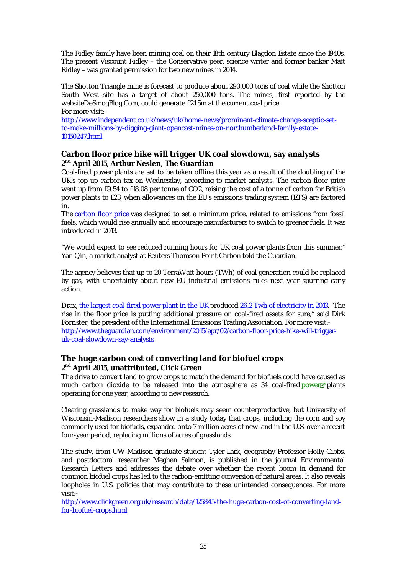The Ridley family have been mining coal on their 18th century Blagdon Estate since the 1940s. The present Viscount Ridley – the Conservative peer, science writer and former banker Matt Ridley – was granted permission for two new mines in 2014.

The Shotton Triangle mine is forecast to produce about 290,000 tons of coal while the Shotton South West site has a target of about 250,000 tons. The mines, first reported by the websiteDeSmogBlog.Com, could generate £21.5m at the current coal price. For more visit:-

http://www.independent.co.uk/news/uk/home-news/prominent-climate-change-sceptic-setto-make-millions-by-digging-giant-opencast-mines-on-northumberland-family-estate-10150247.html

## **Carbon floor price hike will trigger UK coal slowdown, say analysts 2 nd April 2015, Arthur Neslen, The Guardian**

Coal-fired power plants are set to be taken offline this year as a result of the doubling of the UK's top-up carbon tax on Wednesday, according to market analysts. The carbon floor price went up from £9.54 to £18.08 per tonne of CO2, raising the cost of a tonne of carbon for British power plants to £23, when allowances on the EU's emissions trading system (ETS) are factored in.

The carbon floor price was designed to set a minimum price, related to emissions from fossil fuels, which would rise annually and encourage manufacturers to switch to greener fuels. It was introduced in 2013.

"We would expect to see reduced running hours for UK coal power plants from this summer," Yan Qin, a market analyst at Reuters Thomson Point Carbon told the Guardian.

The agency believes that up to 20 TerraWatt hours (TWh) of coal generation could be replaced by gas, with uncertainty about new EU industrial emissions rules next year spurring early action.

Drax, the largest coal-fired power plant in the UK produced 26.2 Twh of electricity in 2013. "The rise in the floor price is putting additional pressure on coal-fired assets for sure," said Dirk Forrister, the president of the International Emissions Trading Association. For more visit: http://www.theguardian.com/environment/2015/apr/02/carbon-floor-price-hike-will-triggeruk-coal-slowdown-say-analysts

## **The huge carbon cost of converting land for biofuel crops 2 nd April 2015, unattributed, Click Green**

The drive to convert land to grow crops to match the demand for biofuels could have caused as much carbon dioxide to be released into the atmosphere as  $34$  coal-fired power  $\mathbb{Z}^n$  plants operating for one year, according to new research.

Clearing grasslands to make way for biofuels may seem counterproductive, but University of Wisconsin-Madison researchers show in a study today that crops, including the corn and soy commonly used for biofuels, expanded onto 7 million acres of new land in the U.S. over a recent four-year period, replacing millions of acres of grasslands.

The study, from UW-Madison graduate student Tyler Lark, geography Professor Holly Gibbs, and postdoctoral researcher Meghan Salmon, is published in the journal Environmental Research Letters and addresses the debate over whether the recent boom in demand for common biofuel crops has led to the carbon-emitting conversion of natural areas. It also reveals loopholes in U.S. policies that may contribute to these unintended consequences. For more visit:-

http://www.clickgreen.org.uk/research/data/125845-the-huge-carbon-cost-of-converting-landfor-biofuel-crops.html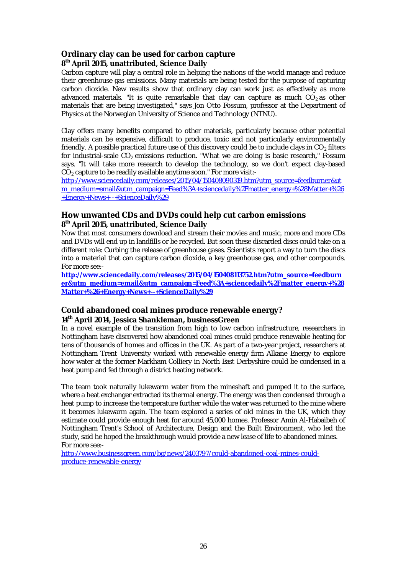## **Ordinary clay can be used for carbon capture 8 th April 2015, unattributed, Science Daily**

Carbon capture will play a central role in helping the nations of the world manage and reduce their greenhouse gas emissions. Many materials are being tested for the purpose of capturing carbon dioxide. New results show that ordinary clay can work just as effectively as more advanced materials. "It is quite remarkable that clay can capture as much  $CO<sub>2</sub>$  as other materials that are being investigated," says Jon Otto Fossum, professor at the Department of Physics at the Norwegian University of Science and Technology (NTNU).

Clay offers many benefits compared to other materials, particularly because other potential materials can be expensive, difficult to produce, toxic and not particularly environmentally friendly. A possible practical future use of this discovery could be to include clays in  $CO<sub>2</sub>$  filters for industrial-scale  $CO<sub>2</sub>$  emissions reduction. "What we are doing is basic research," Fossum says. "It will take more research to develop the technology, so we don't expect clay-based  $CO<sub>2</sub>$  capture to be readily available anytime soon." For more visit:-

http://www.sciencedaily.com/releases/2015/04/150408090319.htm?utm\_source=feedburner&ut m\_medium=email&utm\_campaign=Feed%3A+sciencedaily%2Fmatter\_energy+%28Matter+%26 +Energy+News+--+ScienceDaily%29

## **How unwanted CDs and DVDs could help cut carbon emissions 8 th April 2015, unattributed, Science Daily**

Now that most consumers download and stream their movies and music, more and more CDs and DVDs will end up in landfills or be recycled. But soon these discarded discs could take on a different role: Curbing the release of greenhouse gases. Scientists report a way to turn the discs into a material that can capture carbon dioxide, a key greenhouse gas, and other compounds. For more see:-

**http://www.sciencedaily.com/releases/2015/04/150408113752.htm?utm\_source=feedburn er&utm\_medium=email&utm\_campaign=Feed%3A+sciencedaily%2Fmatter\_energy+%28 Matter+%26+Energy+News+--+ScienceDaily%29**

## **Could abandoned coal mines produce renewable energy? 14th April 2014, Jessica Shankleman, businessGreen**

In a novel example of the transition from high to low carbon infrastructure, researchers in Nottingham have discovered how abandoned coal mines could produce renewable heating for tens of thousands of homes and offices in the UK. As part of a two-year project, researchers at Nottingham Trent University worked with renewable energy firm Alkane Energy to explore how water at the former Markham Colliery in North East Derbyshire could be condensed in a heat pump and fed through a district heating network.

The team took naturally lukewarm water from the mineshaft and pumped it to the surface, where a heat exchanger extracted its thermal energy. The energy was then condensed through a heat pump to increase the temperature further while the water was returned to the mine where it becomes lukewarm again. The team explored a series of old mines in the UK, which they estimate could provide enough heat for around 45,000 homes. Professor Amin Al-Habaibeh of Nottingham Trent's School of Architecture, Design and the Built Environment, who led the study, said he hoped the breakthrough would provide a new lease of life to abandoned mines. For more see:-

http://www.businessgreen.com/bg/news/2403797/could-abandoned-coal-mines-couldproduce-renewable-energy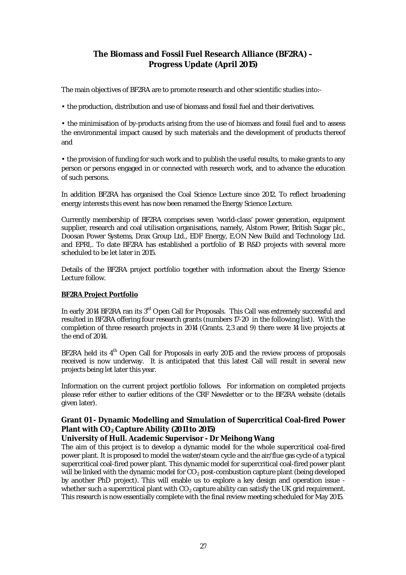# **The Biomass and Fossil Fuel Research Alliance (BF2RA) – Progress Update (April 2015)**

The main objectives of BF2RA are to promote research and other scientific studies into:-

• the production, distribution and use of biomass and fossil fuel and their derivatives.

• the minimisation of by-products arising from the use of biomass and fossil fuel and to assess the environmental impact caused by such materials and the development of products thereof and

• the provision of funding for such work and to publish the useful results, to make grants to any person or persons engaged in or connected with research work, and to advance the education of such persons.

In addition BF2RA has organised the Coal Science Lecture since 2012. To reflect broadening energy interests this event has now been renamed the Energy Science Lecture.

Currently membership of BF2RA comprises seven 'world-class' power generation, equipment supplier, research and coal utilisation organisations, namely, Alstom Power, British Sugar plc., Doosan Power Systems, Drax Group Ltd., EDF Energy, E.ON New Build and Technology Ltd. and EPRI,. To date BF2RA has established a portfolio of 18 R&D projects with several more scheduled to be let later in 2015.

Details of the BF2RA project portfolio together with information about the Energy Science Lecture follow.

#### **BF2RA Project Portfolio**

In early 2014 BF2RA ran its 3<sup>rd</sup> Open Call for Proposals. This Call was extremely successful and resulted in BF2RA offering four research grants (numbers 17-20 in the following list). With the completion of three research projects in 2014 (Grants. 2,3 and 9) there were 14 live projects at the end of 2014.

BF2RA held its  $4<sup>th</sup>$  Open Call for Proposals in early 2015 and the review process of proposals received is now underway. It is anticipated that this latest Call will result in several new projects being let later this year.

Information on the current project portfolio follows. For information on completed projects please refer either to earlier editions of the CRF Newsletter or to the BF2RA website (details given later).

#### **Grant 01 - Dynamic Modelling and Simulation of Supercritical Coal-fired Power Plant with CO2 Capture Ability (2011 to 2015)**

#### **University of Hull. Academic Supervisor - Dr Meihong Wang**

The aim of this project is to develop a dynamic model for the whole supercritical coal-fired power plant. It is proposed to model the water/steam cycle and the air/flue gas cycle of a typical supercritical coal-fired power plant. This dynamic model for supercritical coal-fired power plant will be linked with the dynamic model for  $CO<sub>2</sub>$  post-combustion capture plant (being developed by another PhD project). This will enable us to explore a key design and operation issue whether such a supercritical plant with  $CO<sub>2</sub>$  capture ability can satisfy the UK grid requirement. This research is now essentially complete with the final review meeting scheduled for May 2015.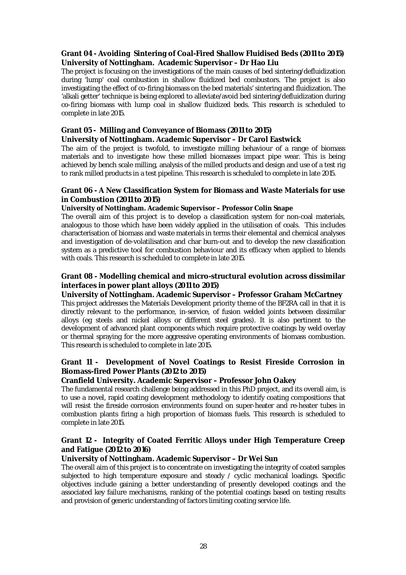## **Grant 04 - Avoiding Sintering of Coal-Fired Shallow Fluidised Beds (2011 to 2015) University of Nottingham. Academic Supervisor – Dr Hao Liu**

The project is focusing on the investigations of the main causes of bed sintering/defluidization during 'lump' coal combustion in shallow fluidized bed combustors. The project is also investigating the effect of co-firing biomass on the bed materials' sintering and fluidization. The 'alkali getter' technique is being explored to alleviate/avoid bed sintering/defluidization during co-firing biomass with lump coal in shallow fluidized beds. This research is scheduled to complete in late 2015.

## **Grant 05 - Milling and Conveyance of Biomass (2011 to 2015)**

#### **University of Nottingham. Academic Supervisor – Dr Carol Eastwick**

The aim of the project is twofold, to investigate milling behaviour of a range of biomass materials and to investigate how these milled biomasses impact pipe wear. This is being achieved by bench scale milling, analysis of the milled products and design and use of a test rig to rank milled products in a test pipeline. This research is scheduled to complete in late 2015.

#### **Grant 06 - A New Classification System for Biomass and Waste Materials for use in Combustion (2011 to 2015)**

#### **University of Nottingham. Academic Supervisor – Professor Colin Snape**

The overall aim of this project is to develop a classification system for non-coal materials, analogous to those which have been widely applied in the utilisation of coals. This includes characterisation of biomass and waste materials in terms their elemental and chemical analyses and investigation of de-volatilisation and char burn-out and to develop the new classification system as a predictive tool for combustion behaviour and its efficacy when applied to blends with coals. This research is scheduled to complete in late 2015.

## **Grant 08 - Modelling chemical and micro-structural evolution across dissimilar interfaces in power plant alloys (2011 to 2015)**

## **University of Nottingham. Academic Supervisor – Professor Graham McCartney**

This project addresses the Materials Development priority theme of the BF2RA call in that it is directly relevant to the performance, in-service, of fusion welded joints between dissimilar alloys (eg steels and nickel alloys or different steel grades). It is also pertinent to the development of advanced plant components which require protective coatings by weld overlay or thermal spraying for the more aggressive operating environments of biomass combustion. This research is scheduled to complete in late 2015.

## **Grant 11 - Development of Novel Coatings to Resist Fireside Corrosion in Biomass-fired Power Plants (2012 to 2015)**

## **Cranfield University. Academic Supervisor – Professor John Oakey**

The fundamental research challenge being addressed in this PhD project, and its overall aim, is to use a novel, rapid coating development methodology to identify coating compositions that will resist the fireside corrosion environments found on super-heater and re-heater tubes in combustion plants firing a high proportion of biomass fuels. This research is scheduled to complete in late 2015.

## **Grant 12 - Integrity of Coated Ferritic Alloys under High Temperature Creep and Fatigue (2012 to 2016)**

## **University of Nottingham. Academic Supervisor – Dr Wei Sun**

The overall aim of this project is to concentrate on investigating the integrity of coated samples subjected to high temperature exposure and steady / cyclic mechanical loadings. Specific objectives include gaining a better understanding of presently developed coatings and the associated key failure mechanisms, ranking of the potential coatings based on testing results and provision of generic understanding of factors limiting coating service life.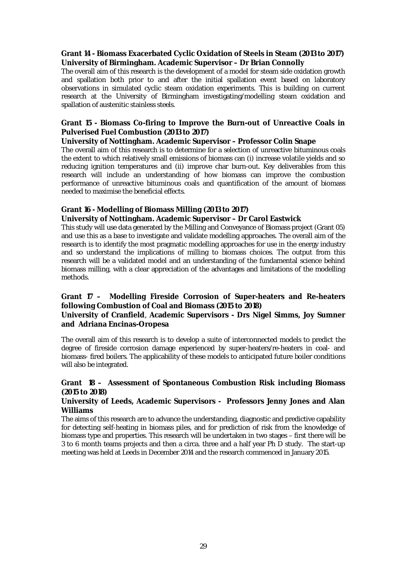## **Grant 14 - Biomass Exacerbated Cyclic Oxidation of Steels in Steam (2013 to 2017) University of Birmingham. Academic Supervisor – Dr Brian Connolly**

The overall aim of this research is the development of a model for steam side oxidation growth and spallation both prior to and after the initial spallation event based on laboratory observations in simulated cyclic steam oxidation experiments. This is building on current research at the University of Birmingham investigating/modelling steam oxidation and spallation of austenitic stainless steels.

## **Grant 15 - Biomass Co-firing to Improve the Burn-out of Unreactive Coals in Pulverised Fuel Combustion (2013 to 2017)**

#### **University of Nottingham. Academic Supervisor – Professor Colin Snape**

The overall aim of this research is to determine for a selection of unreactive bituminous coals the extent to which relatively small emissions of biomass can (i) increase volatile yields and so reducing ignition temperatures and (ii) improve char burn-out. Key deliverables from this research will include an understanding of how biomass can improve the combustion performance of unreactive bituminous coals and quantification of the amount of biomass needed to maximise the beneficial effects.

## **Grant 16 - Modelling of Biomass Milling (2013 to 2017)**

## **University of Nottingham. Academic Supervisor – Dr Carol Eastwick**

This study will use data generated by the Milling and Conveyance of Biomass project (Grant 05) and use this as a base to investigate and validate modelling approaches. The overall aim of the research is to identify the most pragmatic modelling approaches for use in the energy industry and so understand the implications of milling to biomass choices. The output from this research will be a validated model and an understanding of the fundamental science behind biomass milling, with a clear appreciation of the advantages and limitations of the modelling methods.

#### **Grant 17 – Modelling Fireside Corrosion of Super-heaters and Re-heaters following Combustion of Coal and Biomass (2015 to 2018) University of Cranfield**, **Academic Supervisors - Drs Nigel Simms, Joy Sumner and Adriana Encinas-Oropesa**

The overall aim of this research is to develop a suite of interconnected models to predict the degree of fireside corrosion damage experienced by super-heaters/re-heaters in coal- and biomass- fired boilers. The applicability of these models to anticipated future boiler conditions will also be integrated.

## **Grant 18 – Assessment of Spontaneous Combustion Risk including Biomass (2015 to 2018)**

#### **University of Leeds, Academic Supervisors - Professors Jenny Jones and Alan Williams**

The aims of this research are to advance the understanding, diagnostic and predictive capability for detecting self-heating in biomass piles, and for prediction of risk from the knowledge of biomass type and properties. This research will be undertaken in two stages – first there will be 3 to 6 month teams projects and then a circa. three and a half year Ph D study. The start-up meeting was held at Leeds in December 2014 and the research commenced in January 2015.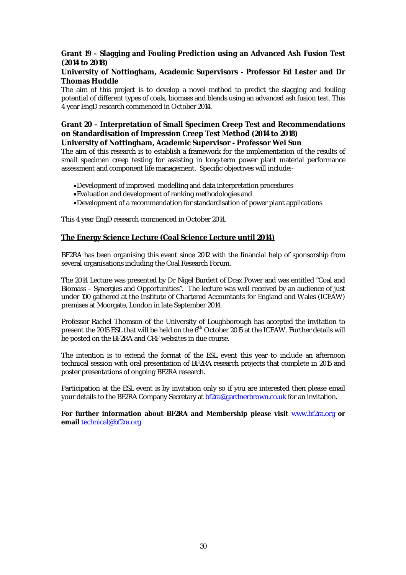## **Grant 19 – Slagging and Fouling Prediction using an Advanced Ash Fusion Test (2014 to 2018)**

#### **University of Nottingham, Academic Supervisors - Professor Ed Lester and Dr Thomas Huddle**

The aim of this project is to develop a novel method to predict the slagging and fouling potential of different types of coals, biomass and blends using an advanced ash fusion test. This 4 year EngD research commenced in October 2014.

# **Grant 20 – Interpretation of Small Specimen Creep Test and Recommendations on Standardisation of Impression Creep Test Method (2014 to 2018)**

**University of Nottingham, Academic Supervisor - Professor Wei Sun**

The aim of this research is to establish a framework for the implementation of the results of small specimen creep testing for assisting in long-term power plant material performance assessment and component life management. Specific objectives will include:-

- Development of improved modelling and data interpretation procedures
- Evaluation and development of ranking methodologies and
- Development of a recommendation for standardisation of power plant applications

This 4 year EngD research commenced in October 2014.

#### **The Energy Science Lecture (Coal Science Lecture until 2014)**

BF2RA has been organising this event since 2012 with the financial help of sponsorship from several organisations including the Coal Research Forum.

The 2014 Lecture was presented by Dr Nigel Burdett of Drax Power and was entitled "Coal and Biomass – Synergies and Opportunities". The lecture was well received by an audience of just under 100 gathered at the Institute of Chartered Accountants for England and Wales (ICEAW) premises at Moorgate, London in late September 2014.

Professor Rachel Thomson of the University of Loughborough has accepted the invitation to present the 2015 ESL that will be held on the 6<sup>th</sup> October 2015 at the ICEAW. Further details will be posted on the BF2RA and CRF websites in due course.

The intention is to extend the format of the ESL event this year to include an afternoon technical session with oral presentation of BF2RA research projects that complete in 2015 and poster presentations of ongoing BF2RA research.

Participation at the ESL event is by invitation only so if you are interested then please email your details to the BF2RA Company Secretary at **bf2ra@gardnerbrown.co.uk** for an invitation.

**For further information about BF2RA and Membership please visit** www.bf2ra.org **or email** technical@bf2ra.org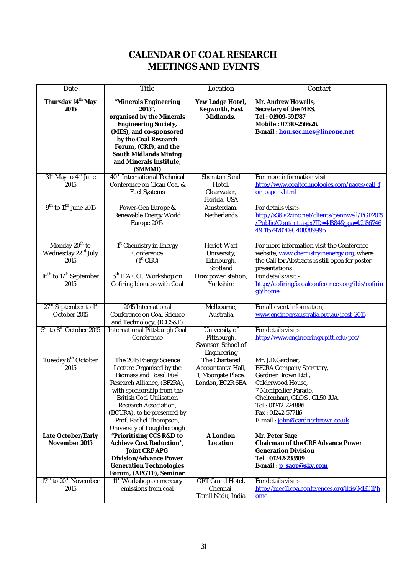# **CALENDAR OF COAL RESEARCH MEETINGS AND EVENTS**

| Date                                                                  | Title                                                                                                                                                                                                                                                                                                | Location                                                                      | Contact                                                                                                                                                                                                                      |
|-----------------------------------------------------------------------|------------------------------------------------------------------------------------------------------------------------------------------------------------------------------------------------------------------------------------------------------------------------------------------------------|-------------------------------------------------------------------------------|------------------------------------------------------------------------------------------------------------------------------------------------------------------------------------------------------------------------------|
| Thursday 14 <sup>th</sup> May<br>2015                                 | "Minerals Engineering<br>$2015''$ ,<br>organised by the Minerals<br><b>Engineering Society,</b><br>(MES), and co-sponsored<br>by the Coal Research<br>Forum, (CRF), and the<br><b>South Midlands Mining</b><br>and Minerals Institute,<br>(SMMMI)                                                    | Yew Lodge Hotel,<br>Kegworth, East<br>Midlands.                               | Mr. Andrew Howells,<br>Secretary of the MES,<br>Tel: 01909-591787<br>Mobile: 07510-256626.<br>E-mail: hon.sec.mes@lineone.net                                                                                                |
| 31 <sup>st</sup> May to 4 <sup>th</sup> June<br>2015                  | 40 <sup>th</sup> International Technical<br>Conference on Clean Coal &<br><b>Fuel Systems</b>                                                                                                                                                                                                        | Sheraton Sand<br>Hotel,<br>Clearwater,<br>Florida, USA                        | For more information visit:<br>http://www.coaltechnologies.com/pages/call_f<br>or papers.html                                                                                                                                |
| 9 <sup>th</sup> to 11 <sup>th</sup> June 2015                         | Power-Gen Europe &<br>Renewable Energy World<br>Europe 2015                                                                                                                                                                                                                                          | Amsterdam,<br><b>Netherlands</b>                                              | For details visit:-<br>http://s36.a2zinc.net/clients/pennwell/PGE2015<br>/Public/Content.aspx?ID=41884&_ga=1.2186746<br>49.1157970709.1408389995                                                                             |
| Monday 20 <sup>th</sup> to<br>Wednesday 22 <sup>nd</sup> July<br>2015 | 1 <sup>st</sup> Chemistry in Energy<br>Conference<br>(1 <sup>st</sup> CEC)                                                                                                                                                                                                                           | Heriot-Watt<br>University,<br>Edinburgh,<br>Scotland                          | For more information visit the Conference<br>website, www.chemistryinenergy.org, where<br>the Call for Abstracts is still open for poster<br>presentations                                                                   |
| 16 <sup>th</sup> to 17 <sup>th</sup> September<br>2015                | 5 <sup>th</sup> IEA CCC Workshop on<br>Cofiring biomass with Coal                                                                                                                                                                                                                                    | Drax power station,<br>Yorkshire                                              | For details visit:-<br>http://cofiring5.coalconferences.org/ibis/cofirin<br>g5/home                                                                                                                                          |
| 27 <sup>th</sup> September to 1 <sup>st</sup><br>October 2015         | 2015 International<br>Conference on Coal Science<br>and Technology, (ICCS&T)                                                                                                                                                                                                                         | Melbourne,<br>Australia                                                       | For all event information,<br>www.engineersaustralia.org.au/iccst-2015                                                                                                                                                       |
| 5 <sup>th</sup> to 8 <sup>th</sup> October 2015                       | International Pittsburgh Coal<br>Conference                                                                                                                                                                                                                                                          | University of<br>Pittsburgh,<br>Swanson School of<br>Engineering              | For details visit:-<br>http://www.engineeringx.pitt.edu/pcc/                                                                                                                                                                 |
| Tuesday 6 <sup>th</sup> October<br>2015                               | The 2015 Energy Science<br>Lecture Organised by the<br><b>Biomass and Fossil Fuel</b><br>Research Alliance, (BF2RA),<br>with sponsorship from the<br><b>British Coal Utilisation</b><br>Research Association,<br>(BCURA), to be presented by<br>Prof. Rachel Thompson,<br>University of Loughborough | The Chartered<br>Accountants' Hall,<br>1, Moorgate Place,<br>London, EC2R 6EA | Mr. J.D.Gardner,<br>BF2RA Company Secretary,<br>Gardner Brown Ltd.,<br>Calderwood House,<br>7 Montpellier Parade,<br>Cheltenham, GLOS, GL501UA.<br>Tel: 01242-224886<br>Fax: 01242-577116<br>E-mail: john@gardnerbrown.co.uk |
| Late October/Early<br>November 2015                                   | "Prioritising CCS R&D to<br>Achieve Cost Reduction",<br><b>Joint CRF APG</b><br><b>Division/Advance Power</b><br><b>Generation Technologies</b><br>Forum, (APGTF), Seminar                                                                                                                           | A London<br>Location                                                          | Mr. Peter Sage<br><b>Chairman of the CRF Advance Power</b><br><b>Generation Division</b><br>Tel: 01242-233509<br>E-mail: p_sage@sky.com                                                                                      |
| 17 <sup>th</sup> to 20 <sup>th</sup> November<br>2015                 | 11 <sup>th</sup> Workshop on mercury<br>emissions from coal                                                                                                                                                                                                                                          | GRT Grand Hotel,<br>Chennai,<br>Tamil Nadu, India                             | For details visit:-<br>http://mec11.coalconferences.org/ibis/MEC11/h<br>ome                                                                                                                                                  |